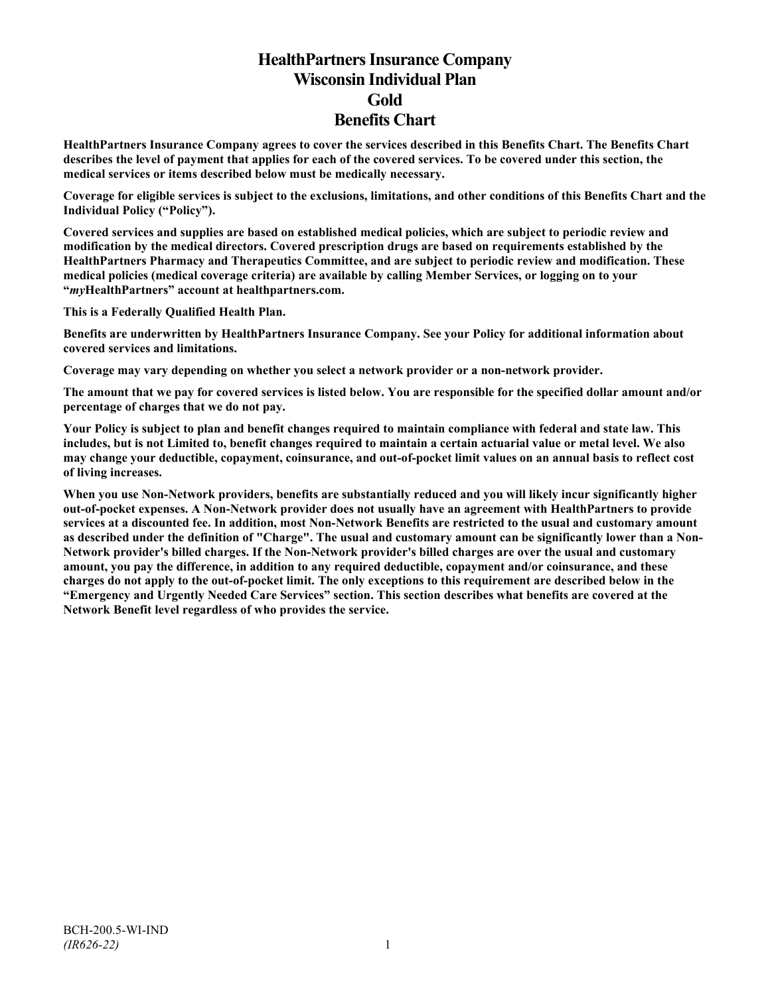# **HealthPartners Insurance Company Wisconsin Individual Plan Gold Benefits Chart**

**HealthPartners Insurance Company agrees to cover the services described in this Benefits Chart. The Benefits Chart describes the level of payment that applies for each of the covered services. To be covered under this section, the medical services or items described below must be medically necessary.**

**Coverage for eligible services is subject to the exclusions, limitations, and other conditions of this Benefits Chart and the Individual Policy ("Policy").**

**Covered services and supplies are based on established medical policies, which are subject to periodic review and modification by the medical directors. Covered prescription drugs are based on requirements established by the HealthPartners Pharmacy and Therapeutics Committee, and are subject to periodic review and modification. These medical policies (medical coverage criteria) are available by calling Member Services, or logging on to your "***my***HealthPartners" account at [healthpartners.com.](http://www.healthpartners.com/)**

**This is a Federally Qualified Health Plan.**

**Benefits are underwritten by HealthPartners Insurance Company. See your Policy for additional information about covered services and limitations.**

**Coverage may vary depending on whether you select a network provider or a non-network provider.**

**The amount that we pay for covered services is listed below. You are responsible for the specified dollar amount and/or percentage of charges that we do not pay.**

**Your Policy is subject to plan and benefit changes required to maintain compliance with federal and state law. This includes, but is not Limited to, benefit changes required to maintain a certain actuarial value or metal level. We also may change your deductible, copayment, coinsurance, and out-of-pocket limit values on an annual basis to reflect cost of living increases.**

**When you use Non-Network providers, benefits are substantially reduced and you will likely incur significantly higher out-of-pocket expenses. A Non-Network provider does not usually have an agreement with HealthPartners to provide services at a discounted fee. In addition, most Non-Network Benefits are restricted to the usual and customary amount as described under the definition of "Charge". The usual and customary amount can be significantly lower than a Non-Network provider's billed charges. If the Non-Network provider's billed charges are over the usual and customary amount, you pay the difference, in addition to any required deductible, copayment and/or coinsurance, and these charges do not apply to the out-of-pocket limit. The only exceptions to this requirement are described below in the "Emergency and Urgently Needed Care Services" section. This section describes what benefits are covered at the Network Benefit level regardless of who provides the service.**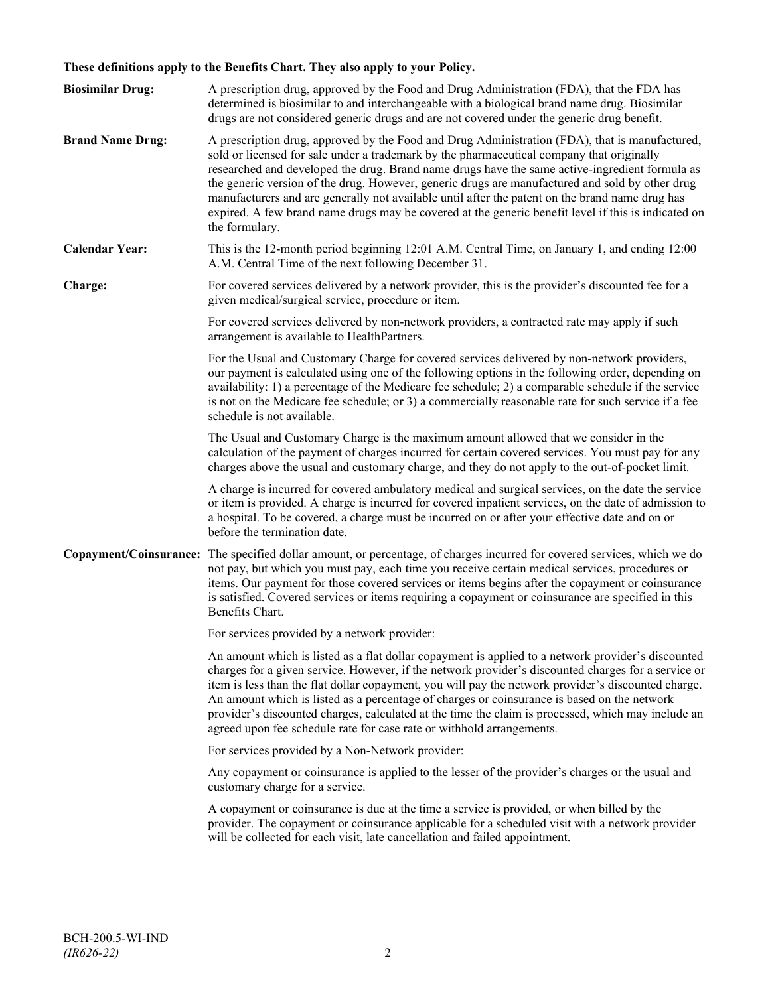# **These definitions apply to the Benefits Chart. They also apply to your Policy.**

| <b>Biosimilar Drug:</b> | A prescription drug, approved by the Food and Drug Administration (FDA), that the FDA has<br>determined is biosimilar to and interchangeable with a biological brand name drug. Biosimilar<br>drugs are not considered generic drugs and are not covered under the generic drug benefit.                                                                                                                                                                                                                                                                                                                                     |
|-------------------------|------------------------------------------------------------------------------------------------------------------------------------------------------------------------------------------------------------------------------------------------------------------------------------------------------------------------------------------------------------------------------------------------------------------------------------------------------------------------------------------------------------------------------------------------------------------------------------------------------------------------------|
| <b>Brand Name Drug:</b> | A prescription drug, approved by the Food and Drug Administration (FDA), that is manufactured,<br>sold or licensed for sale under a trademark by the pharmaceutical company that originally<br>researched and developed the drug. Brand name drugs have the same active-ingredient formula as<br>the generic version of the drug. However, generic drugs are manufactured and sold by other drug<br>manufacturers and are generally not available until after the patent on the brand name drug has<br>expired. A few brand name drugs may be covered at the generic benefit level if this is indicated on<br>the formulary. |
| <b>Calendar Year:</b>   | This is the 12-month period beginning 12:01 A.M. Central Time, on January 1, and ending 12:00<br>A.M. Central Time of the next following December 31.                                                                                                                                                                                                                                                                                                                                                                                                                                                                        |
| Charge:                 | For covered services delivered by a network provider, this is the provider's discounted fee for a<br>given medical/surgical service, procedure or item.                                                                                                                                                                                                                                                                                                                                                                                                                                                                      |
|                         | For covered services delivered by non-network providers, a contracted rate may apply if such<br>arrangement is available to HealthPartners.                                                                                                                                                                                                                                                                                                                                                                                                                                                                                  |
|                         | For the Usual and Customary Charge for covered services delivered by non-network providers,<br>our payment is calculated using one of the following options in the following order, depending on<br>availability: 1) a percentage of the Medicare fee schedule; 2) a comparable schedule if the service<br>is not on the Medicare fee schedule; or 3) a commercially reasonable rate for such service if a fee<br>schedule is not available.                                                                                                                                                                                 |
|                         | The Usual and Customary Charge is the maximum amount allowed that we consider in the<br>calculation of the payment of charges incurred for certain covered services. You must pay for any<br>charges above the usual and customary charge, and they do not apply to the out-of-pocket limit.                                                                                                                                                                                                                                                                                                                                 |
|                         | A charge is incurred for covered ambulatory medical and surgical services, on the date the service<br>or item is provided. A charge is incurred for covered inpatient services, on the date of admission to<br>a hospital. To be covered, a charge must be incurred on or after your effective date and on or<br>before the termination date.                                                                                                                                                                                                                                                                                |
|                         | Copayment/Coinsurance: The specified dollar amount, or percentage, of charges incurred for covered services, which we do<br>not pay, but which you must pay, each time you receive certain medical services, procedures or<br>items. Our payment for those covered services or items begins after the copayment or coinsurance<br>is satisfied. Covered services or items requiring a copayment or coinsurance are specified in this<br>Benefits Chart.                                                                                                                                                                      |
|                         | For services provided by a network provider:                                                                                                                                                                                                                                                                                                                                                                                                                                                                                                                                                                                 |
|                         | An amount which is listed as a flat dollar copayment is applied to a network provider's discounted<br>charges for a given service. However, if the network provider's discounted charges for a service or<br>item is less than the flat dollar copayment, you will pay the network provider's discounted charge.<br>An amount which is listed as a percentage of charges or coinsurance is based on the network<br>provider's discounted charges, calculated at the time the claim is processed, which may include an<br>agreed upon fee schedule rate for case rate or withhold arrangements.                               |
|                         | For services provided by a Non-Network provider:                                                                                                                                                                                                                                                                                                                                                                                                                                                                                                                                                                             |
|                         | Any copayment or coinsurance is applied to the lesser of the provider's charges or the usual and<br>customary charge for a service.                                                                                                                                                                                                                                                                                                                                                                                                                                                                                          |
|                         | A copayment or coinsurance is due at the time a service is provided, or when billed by the<br>provider. The copayment or coinsurance applicable for a scheduled visit with a network provider<br>will be collected for each visit, late cancellation and failed appointment.                                                                                                                                                                                                                                                                                                                                                 |
|                         |                                                                                                                                                                                                                                                                                                                                                                                                                                                                                                                                                                                                                              |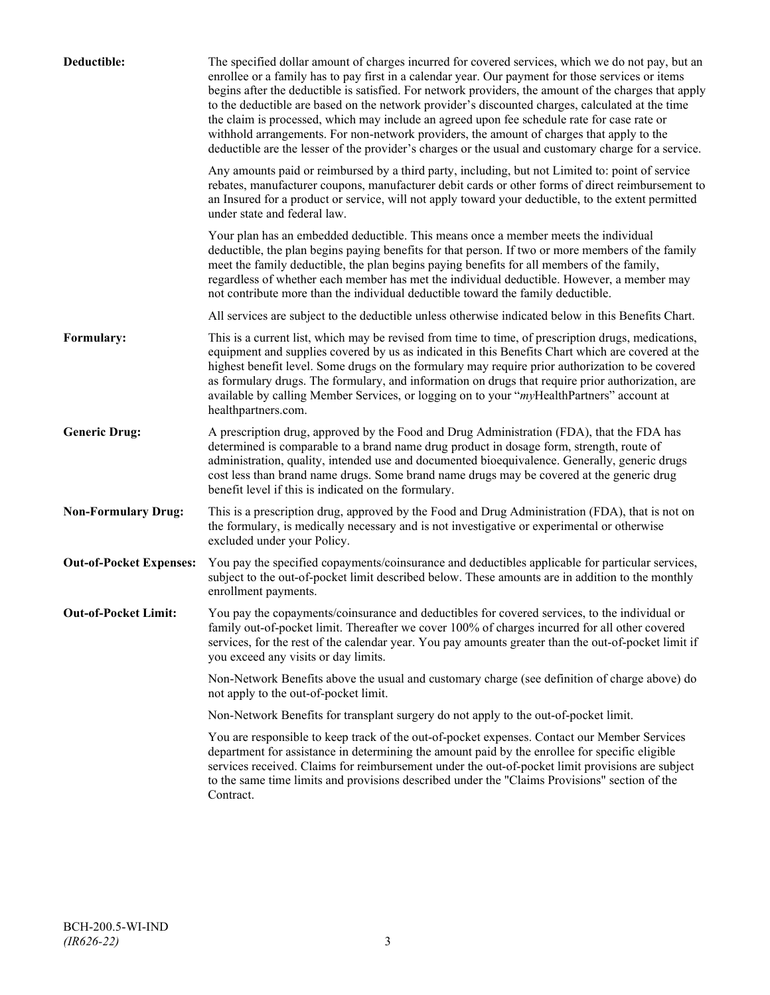| Deductible:                    | The specified dollar amount of charges incurred for covered services, which we do not pay, but an<br>enrollee or a family has to pay first in a calendar year. Our payment for those services or items<br>begins after the deductible is satisfied. For network providers, the amount of the charges that apply<br>to the deductible are based on the network provider's discounted charges, calculated at the time<br>the claim is processed, which may include an agreed upon fee schedule rate for case rate or<br>withhold arrangements. For non-network providers, the amount of charges that apply to the<br>deductible are the lesser of the provider's charges or the usual and customary charge for a service. |
|--------------------------------|-------------------------------------------------------------------------------------------------------------------------------------------------------------------------------------------------------------------------------------------------------------------------------------------------------------------------------------------------------------------------------------------------------------------------------------------------------------------------------------------------------------------------------------------------------------------------------------------------------------------------------------------------------------------------------------------------------------------------|
|                                | Any amounts paid or reimbursed by a third party, including, but not Limited to: point of service<br>rebates, manufacturer coupons, manufacturer debit cards or other forms of direct reimbursement to<br>an Insured for a product or service, will not apply toward your deductible, to the extent permitted<br>under state and federal law.                                                                                                                                                                                                                                                                                                                                                                            |
|                                | Your plan has an embedded deductible. This means once a member meets the individual<br>deductible, the plan begins paying benefits for that person. If two or more members of the family<br>meet the family deductible, the plan begins paying benefits for all members of the family,<br>regardless of whether each member has met the individual deductible. However, a member may<br>not contribute more than the individual deductible toward the family deductible.                                                                                                                                                                                                                                                |
|                                | All services are subject to the deductible unless otherwise indicated below in this Benefits Chart.                                                                                                                                                                                                                                                                                                                                                                                                                                                                                                                                                                                                                     |
| Formulary:                     | This is a current list, which may be revised from time to time, of prescription drugs, medications,<br>equipment and supplies covered by us as indicated in this Benefits Chart which are covered at the<br>highest benefit level. Some drugs on the formulary may require prior authorization to be covered<br>as formulary drugs. The formulary, and information on drugs that require prior authorization, are<br>available by calling Member Services, or logging on to your "myHealthPartners" account at<br>healthpartners.com.                                                                                                                                                                                   |
| <b>Generic Drug:</b>           | A prescription drug, approved by the Food and Drug Administration (FDA), that the FDA has<br>determined is comparable to a brand name drug product in dosage form, strength, route of<br>administration, quality, intended use and documented bioequivalence. Generally, generic drugs<br>cost less than brand name drugs. Some brand name drugs may be covered at the generic drug<br>benefit level if this is indicated on the formulary.                                                                                                                                                                                                                                                                             |
| <b>Non-Formulary Drug:</b>     | This is a prescription drug, approved by the Food and Drug Administration (FDA), that is not on<br>the formulary, is medically necessary and is not investigative or experimental or otherwise<br>excluded under your Policy.                                                                                                                                                                                                                                                                                                                                                                                                                                                                                           |
| <b>Out-of-Pocket Expenses:</b> | You pay the specified copayments/coinsurance and deductibles applicable for particular services,<br>subject to the out-of-pocket limit described below. These amounts are in addition to the monthly<br>enrollment payments.                                                                                                                                                                                                                                                                                                                                                                                                                                                                                            |
| <b>Out-of-Pocket Limit:</b>    | You pay the copayments/coinsurance and deductibles for covered services, to the individual or<br>family out-of-pocket limit. Thereafter we cover 100% of charges incurred for all other covered<br>services, for the rest of the calendar year. You pay amounts greater than the out-of-pocket limit if<br>you exceed any visits or day limits.                                                                                                                                                                                                                                                                                                                                                                         |
|                                | Non-Network Benefits above the usual and customary charge (see definition of charge above) do<br>not apply to the out-of-pocket limit.                                                                                                                                                                                                                                                                                                                                                                                                                                                                                                                                                                                  |
|                                | Non-Network Benefits for transplant surgery do not apply to the out-of-pocket limit.                                                                                                                                                                                                                                                                                                                                                                                                                                                                                                                                                                                                                                    |
|                                | You are responsible to keep track of the out-of-pocket expenses. Contact our Member Services<br>department for assistance in determining the amount paid by the enrollee for specific eligible<br>services received. Claims for reimbursement under the out-of-pocket limit provisions are subject<br>to the same time limits and provisions described under the "Claims Provisions" section of the<br>Contract.                                                                                                                                                                                                                                                                                                        |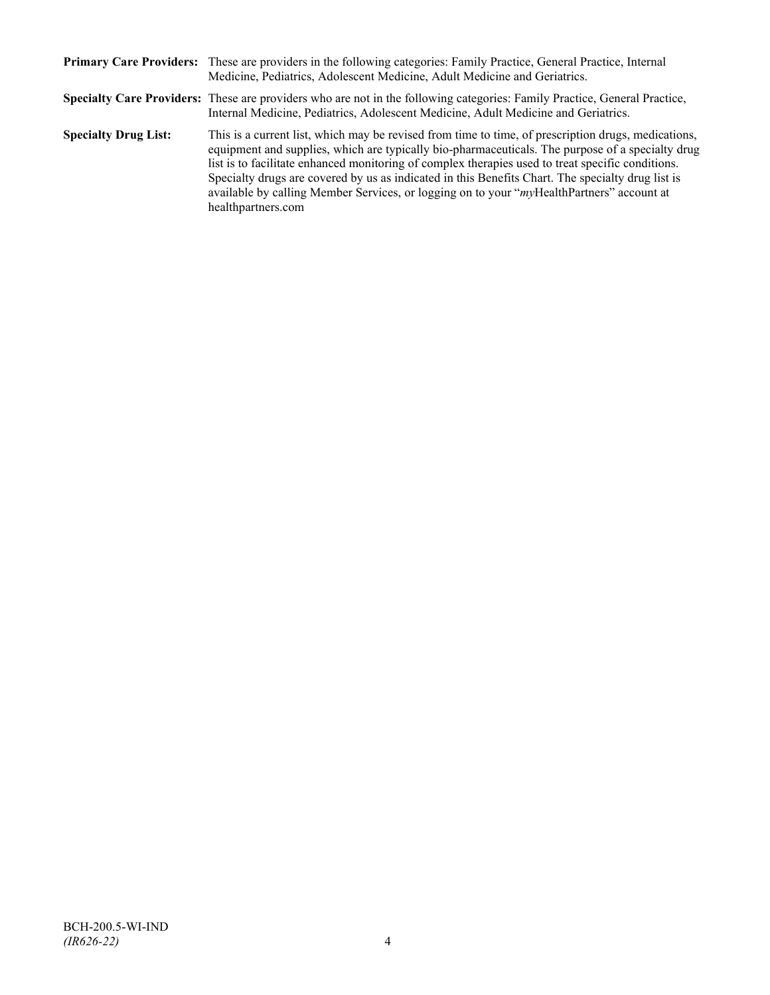|                             | Primary Care Providers: These are providers in the following categories: Family Practice, General Practice, Internal<br>Medicine, Pediatrics, Adolescent Medicine, Adult Medicine and Geriatrics.                                                                                                                                                                                                                                                                                                                                    |
|-----------------------------|--------------------------------------------------------------------------------------------------------------------------------------------------------------------------------------------------------------------------------------------------------------------------------------------------------------------------------------------------------------------------------------------------------------------------------------------------------------------------------------------------------------------------------------|
|                             | Specialty Care Providers: These are providers who are not in the following categories: Family Practice, General Practice,<br>Internal Medicine, Pediatrics, Adolescent Medicine, Adult Medicine and Geriatrics.                                                                                                                                                                                                                                                                                                                      |
| <b>Specialty Drug List:</b> | This is a current list, which may be revised from time to time, of prescription drugs, medications,<br>equipment and supplies, which are typically bio-pharmaceuticals. The purpose of a specialty drug<br>list is to facilitate enhanced monitoring of complex therapies used to treat specific conditions.<br>Specialty drugs are covered by us as indicated in this Benefits Chart. The specialty drug list is<br>available by calling Member Services, or logging on to your "myHealthPartners" account at<br>healthpartners.com |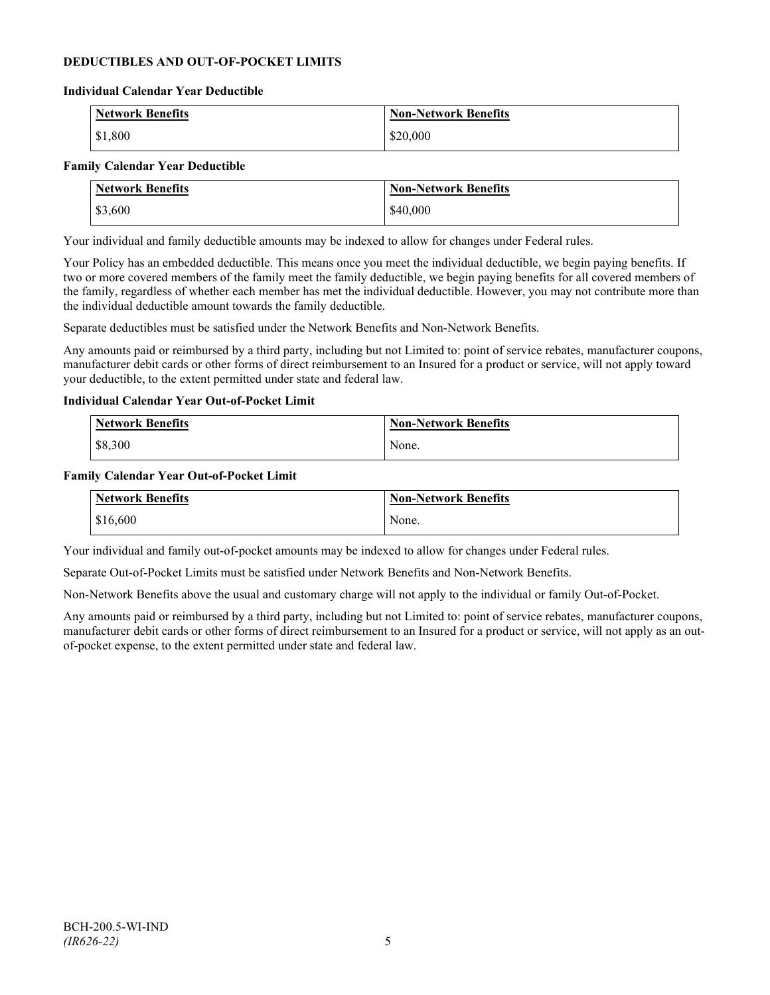## **DEDUCTIBLES AND OUT-OF-POCKET LIMITS**

#### **Individual Calendar Year Deductible**

| <b>Network Benefits</b> | <b>Non-Network Benefits</b> |
|-------------------------|-----------------------------|
| \$1,800                 | \$20,000                    |

#### **Family Calendar Year Deductible**

| <b>Network Benefits</b> | <b>Non-Network Benefits</b> |
|-------------------------|-----------------------------|
| \$3,600                 | \$40,000                    |

Your individual and family deductible amounts may be indexed to allow for changes under Federal rules.

Your Policy has an embedded deductible. This means once you meet the individual deductible, we begin paying benefits. If two or more covered members of the family meet the family deductible, we begin paying benefits for all covered members of the family, regardless of whether each member has met the individual deductible. However, you may not contribute more than the individual deductible amount towards the family deductible.

Separate deductibles must be satisfied under the Network Benefits and Non-Network Benefits.

Any amounts paid or reimbursed by a third party, including but not Limited to: point of service rebates, manufacturer coupons, manufacturer debit cards or other forms of direct reimbursement to an Insured for a product or service, will not apply toward your deductible, to the extent permitted under state and federal law.

#### **Individual Calendar Year Out-of-Pocket Limit**

| Network Benefits | <b>Non-Network Benefits</b> |
|------------------|-----------------------------|
| \$8,300          | None.                       |

#### **Family Calendar Year Out-of-Pocket Limit**

| Network Benefits | <b>Non-Network Benefits</b> |
|------------------|-----------------------------|
| \$16,600         | None.                       |

Your individual and family out-of-pocket amounts may be indexed to allow for changes under Federal rules.

Separate Out-of-Pocket Limits must be satisfied under Network Benefits and Non-Network Benefits.

Non-Network Benefits above the usual and customary charge will not apply to the individual or family Out-of-Pocket.

Any amounts paid or reimbursed by a third party, including but not Limited to: point of service rebates, manufacturer coupons, manufacturer debit cards or other forms of direct reimbursement to an Insured for a product or service, will not apply as an outof-pocket expense, to the extent permitted under state and federal law.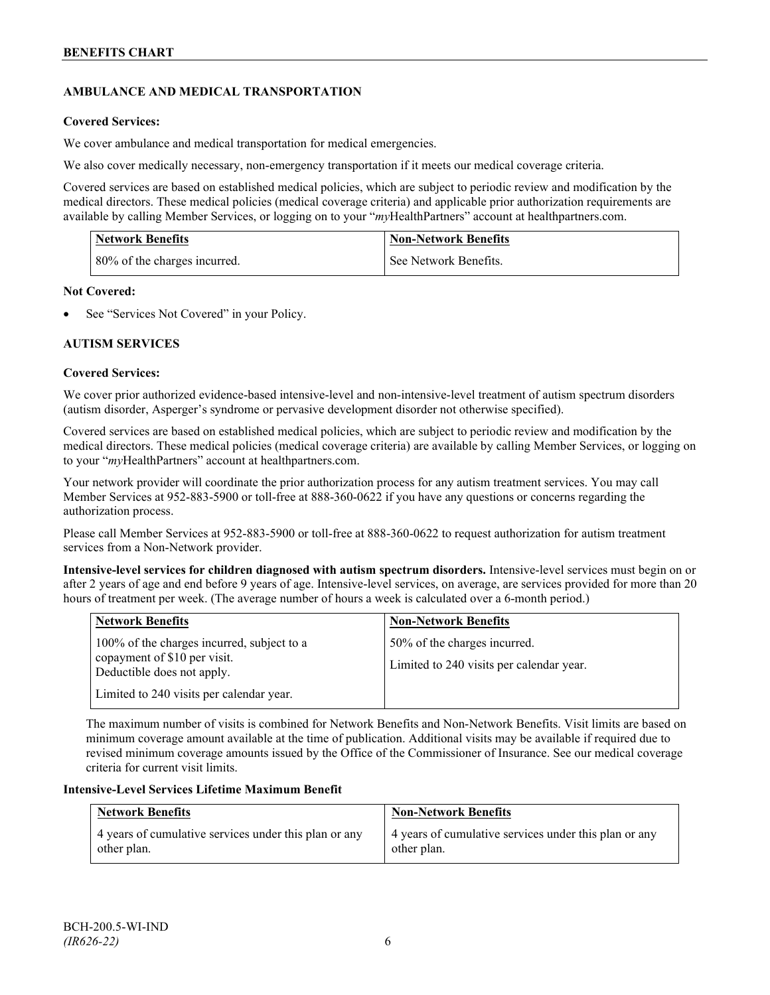# **AMBULANCE AND MEDICAL TRANSPORTATION**

## **Covered Services:**

We cover ambulance and medical transportation for medical emergencies.

We also cover medically necessary, non-emergency transportation if it meets our medical coverage criteria.

Covered services are based on established medical policies, which are subject to periodic review and modification by the medical directors. These medical policies (medical coverage criteria) and applicable prior authorization requirements are available by calling Member Services, or logging on to your "*my*HealthPartners" account a[t healthpartners.com.](http://www.healthpartners.com/)

| <b>Network Benefits</b>      | <b>Non-Network Benefits</b> |
|------------------------------|-----------------------------|
| 80% of the charges incurred. | l See Network Benefits.     |

#### **Not Covered:**

See "Services Not Covered" in your Policy.

## **AUTISM SERVICES**

## **Covered Services:**

We cover prior authorized evidence-based intensive-level and non-intensive-level treatment of autism spectrum disorders (autism disorder, Asperger's syndrome or pervasive development disorder not otherwise specified).

Covered services are based on established medical policies, which are subject to periodic review and modification by the medical directors. These medical policies (medical coverage criteria) are available by calling Member Services, or logging on to your "*my*HealthPartners" account at [healthpartners.com.](http://www.healthpartners.com/)

Your network provider will coordinate the prior authorization process for any autism treatment services. You may call Member Services at 952-883-5900 or toll-free at 888-360-0622 if you have any questions or concerns regarding the authorization process.

Please call Member Services at 952-883-5900 or toll-free at 888-360-0622 to request authorization for autism treatment services from a Non-Network provider.

**Intensive-level services for children diagnosed with autism spectrum disorders.** Intensive-level services must begin on or after 2 years of age and end before 9 years of age. Intensive-level services, on average, are services provided for more than 20 hours of treatment per week. (The average number of hours a week is calculated over a 6-month period.)

| <b>Network Benefits</b>                                                                                  | <b>Non-Network Benefits</b>                                              |
|----------------------------------------------------------------------------------------------------------|--------------------------------------------------------------------------|
| 100% of the charges incurred, subject to a<br>copayment of \$10 per visit.<br>Deductible does not apply. | 50% of the charges incurred.<br>Limited to 240 visits per calendar year. |
| Limited to 240 visits per calendar year.                                                                 |                                                                          |

The maximum number of visits is combined for Network Benefits and Non-Network Benefits. Visit limits are based on minimum coverage amount available at the time of publication. Additional visits may be available if required due to revised minimum coverage amounts issued by the Office of the Commissioner of Insurance. See our medical coverage criteria for current visit limits.

### **Intensive-Level Services Lifetime Maximum Benefit**

| <b>Network Benefits</b>                               | <b>Non-Network Benefits</b>                           |
|-------------------------------------------------------|-------------------------------------------------------|
| 4 years of cumulative services under this plan or any | 4 years of cumulative services under this plan or any |
| other plan.                                           | other plan.                                           |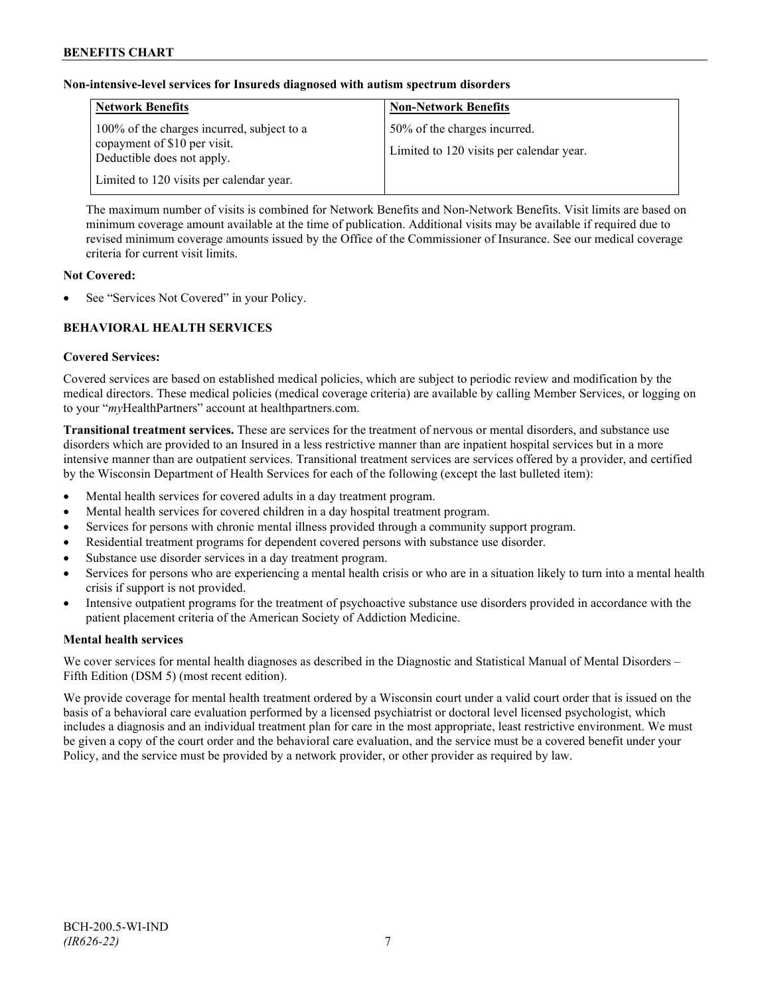## **Non-intensive-level services for Insureds diagnosed with autism spectrum disorders**

| <b>Network Benefits</b>                                                                                  | <b>Non-Network Benefits</b>                                              |
|----------------------------------------------------------------------------------------------------------|--------------------------------------------------------------------------|
| 100% of the charges incurred, subject to a<br>copayment of \$10 per visit.<br>Deductible does not apply. | 50% of the charges incurred.<br>Limited to 120 visits per calendar year. |
| Limited to 120 visits per calendar year.                                                                 |                                                                          |

The maximum number of visits is combined for Network Benefits and Non-Network Benefits. Visit limits are based on minimum coverage amount available at the time of publication. Additional visits may be available if required due to revised minimum coverage amounts issued by the Office of the Commissioner of Insurance. See our medical coverage criteria for current visit limits.

## **Not Covered:**

See "Services Not Covered" in your Policy.

# **BEHAVIORAL HEALTH SERVICES**

#### **Covered Services:**

Covered services are based on established medical policies, which are subject to periodic review and modification by the medical directors. These medical policies (medical coverage criteria) are available by calling Member Services, or logging on to your "*my*HealthPartners" account at [healthpartners.com.](http://www.healthpartners.com/)

**Transitional treatment services.** These are services for the treatment of nervous or mental disorders, and substance use disorders which are provided to an Insured in a less restrictive manner than are inpatient hospital services but in a more intensive manner than are outpatient services. Transitional treatment services are services offered by a provider, and certified by the Wisconsin Department of Health Services for each of the following (except the last bulleted item):

- Mental health services for covered adults in a day treatment program.
- Mental health services for covered children in a day hospital treatment program.
- Services for persons with chronic mental illness provided through a community support program.
- Residential treatment programs for dependent covered persons with substance use disorder.
- Substance use disorder services in a day treatment program.
- Services for persons who are experiencing a mental health crisis or who are in a situation likely to turn into a mental health crisis if support is not provided.
- Intensive outpatient programs for the treatment of psychoactive substance use disorders provided in accordance with the patient placement criteria of the American Society of Addiction Medicine.

## **Mental health services**

We cover services for mental health diagnoses as described in the Diagnostic and Statistical Manual of Mental Disorders – Fifth Edition (DSM 5) (most recent edition).

We provide coverage for mental health treatment ordered by a Wisconsin court under a valid court order that is issued on the basis of a behavioral care evaluation performed by a licensed psychiatrist or doctoral level licensed psychologist, which includes a diagnosis and an individual treatment plan for care in the most appropriate, least restrictive environment. We must be given a copy of the court order and the behavioral care evaluation, and the service must be a covered benefit under your Policy, and the service must be provided by a network provider, or other provider as required by law.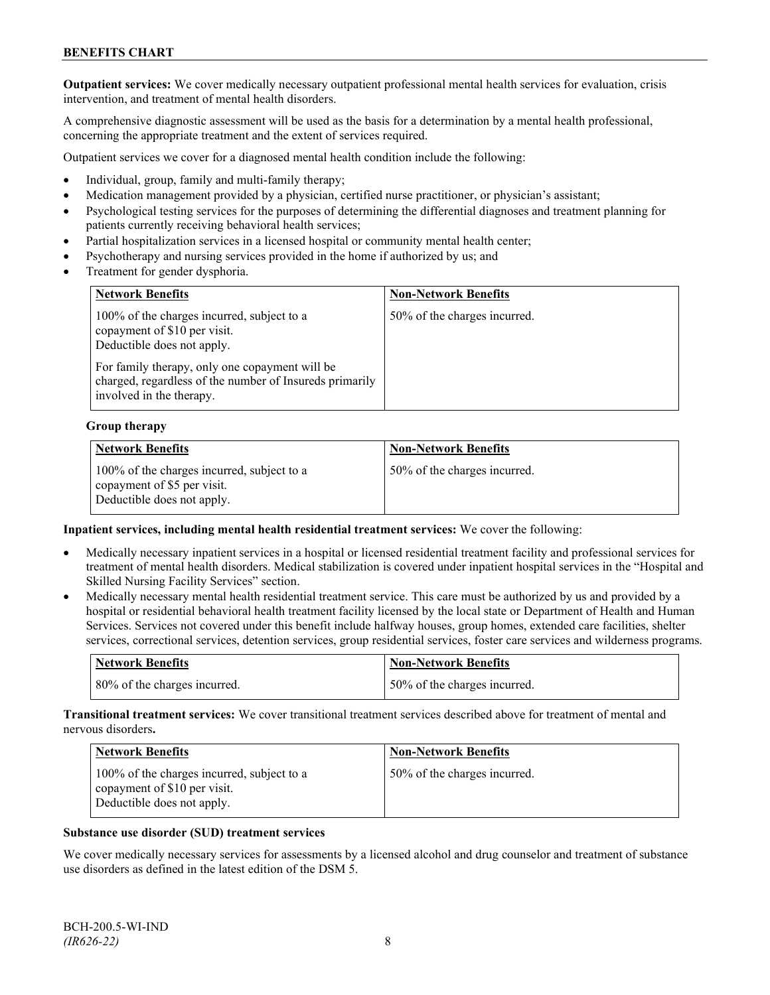**Outpatient services:** We cover medically necessary outpatient professional mental health services for evaluation, crisis intervention, and treatment of mental health disorders.

A comprehensive diagnostic assessment will be used as the basis for a determination by a mental health professional, concerning the appropriate treatment and the extent of services required.

Outpatient services we cover for a diagnosed mental health condition include the following:

- Individual, group, family and multi-family therapy;
- Medication management provided by a physician, certified nurse practitioner, or physician's assistant;
- Psychological testing services for the purposes of determining the differential diagnoses and treatment planning for patients currently receiving behavioral health services;
- Partial hospitalization services in a licensed hospital or community mental health center;
- Psychotherapy and nursing services provided in the home if authorized by us; and
- Treatment for gender dysphoria.

| <b>Network Benefits</b>                                                                                                               | <b>Non-Network Benefits</b>  |
|---------------------------------------------------------------------------------------------------------------------------------------|------------------------------|
| 100% of the charges incurred, subject to a<br>copayment of \$10 per visit.<br>Deductible does not apply.                              | 50% of the charges incurred. |
| For family therapy, only one copayment will be<br>charged, regardless of the number of Insureds primarily<br>involved in the therapy. |                              |

#### **Group therapy**

| <b>Network Benefits</b>                                                                                 | <b>Non-Network Benefits</b>   |
|---------------------------------------------------------------------------------------------------------|-------------------------------|
| 100% of the charges incurred, subject to a<br>copayment of \$5 per visit.<br>Deductible does not apply. | 150% of the charges incurred. |

#### **Inpatient services, including mental health residential treatment services:** We cover the following:

- Medically necessary inpatient services in a hospital or licensed residential treatment facility and professional services for treatment of mental health disorders. Medical stabilization is covered under inpatient hospital services in the "Hospital and Skilled Nursing Facility Services" section.
- Medically necessary mental health residential treatment service. This care must be authorized by us and provided by a hospital or residential behavioral health treatment facility licensed by the local state or Department of Health and Human Services. Services not covered under this benefit include halfway houses, group homes, extended care facilities, shelter services, correctional services, detention services, group residential services, foster care services and wilderness programs.

| Network Benefits             | <b>Non-Network Benefits</b>  |
|------------------------------|------------------------------|
| 80% of the charges incurred. | 50% of the charges incurred. |

**Transitional treatment services:** We cover transitional treatment services described above for treatment of mental and nervous disorders**.**

| <b>Network Benefits</b>                                                                                  | <b>Non-Network Benefits</b>  |
|----------------------------------------------------------------------------------------------------------|------------------------------|
| 100% of the charges incurred, subject to a<br>copayment of \$10 per visit.<br>Deductible does not apply. | 50% of the charges incurred. |

#### **Substance use disorder (SUD) treatment services**

We cover medically necessary services for assessments by a licensed alcohol and drug counselor and treatment of substance use disorders as defined in the latest edition of the DSM 5.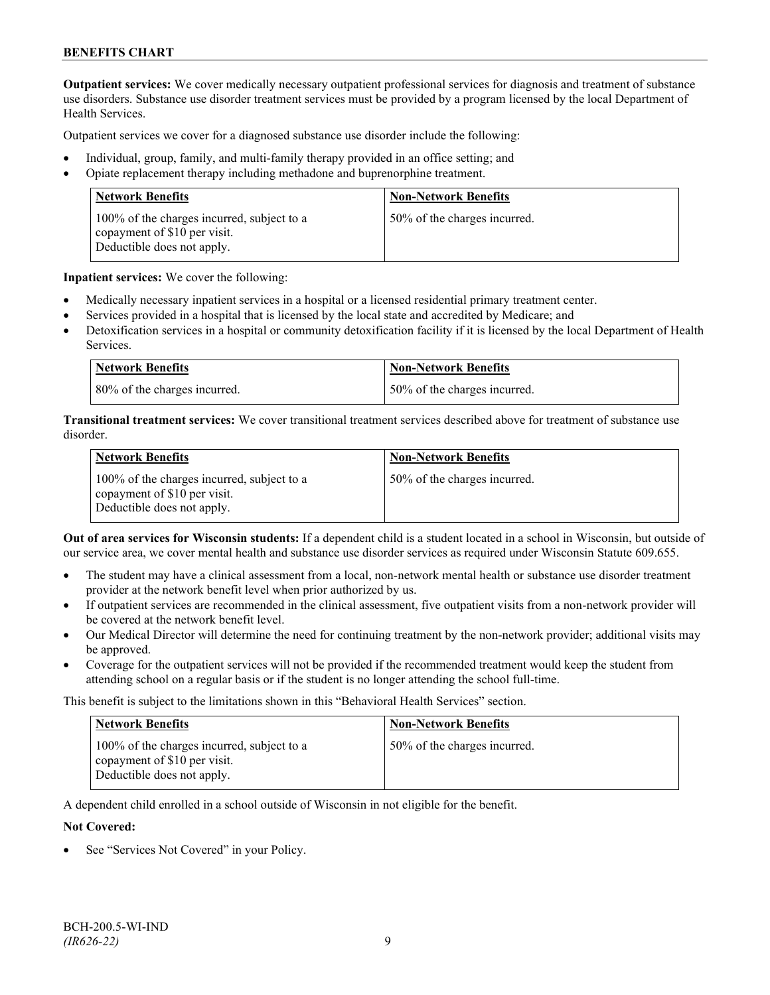**Outpatient services:** We cover medically necessary outpatient professional services for diagnosis and treatment of substance use disorders. Substance use disorder treatment services must be provided by a program licensed by the local Department of Health Services.

Outpatient services we cover for a diagnosed substance use disorder include the following:

- Individual, group, family, and multi-family therapy provided in an office setting; and
- Opiate replacement therapy including methadone and buprenorphine treatment.

| <b>Network Benefits</b>                                                                                  | <b>Non-Network Benefits</b>  |
|----------------------------------------------------------------------------------------------------------|------------------------------|
| 100% of the charges incurred, subject to a<br>copayment of \$10 per visit.<br>Deductible does not apply. | 50% of the charges incurred. |

**Inpatient services:** We cover the following:

- Medically necessary inpatient services in a hospital or a licensed residential primary treatment center.
- Services provided in a hospital that is licensed by the local state and accredited by Medicare; and
- Detoxification services in a hospital or community detoxification facility if it is licensed by the local Department of Health Services.

| <b>Network Benefits</b>      | <b>Non-Network Benefits</b>  |
|------------------------------|------------------------------|
| 80% of the charges incurred. | 50% of the charges incurred. |

**Transitional treatment services:** We cover transitional treatment services described above for treatment of substance use disorder.

| <b>Network Benefits</b>                                                                                  | <b>Non-Network Benefits</b>  |
|----------------------------------------------------------------------------------------------------------|------------------------------|
| 100% of the charges incurred, subject to a<br>copayment of \$10 per visit.<br>Deductible does not apply. | 50% of the charges incurred. |

**Out of area services for Wisconsin students:** If a dependent child is a student located in a school in Wisconsin, but outside of our service area, we cover mental health and substance use disorder services as required under Wisconsin Statute 609.655.

- The student may have a clinical assessment from a local, non-network mental health or substance use disorder treatment provider at the network benefit level when prior authorized by us.
- If outpatient services are recommended in the clinical assessment, five outpatient visits from a non-network provider will be covered at the network benefit level.
- Our Medical Director will determine the need for continuing treatment by the non-network provider; additional visits may be approved.
- Coverage for the outpatient services will not be provided if the recommended treatment would keep the student from attending school on a regular basis or if the student is no longer attending the school full-time.

This benefit is subject to the limitations shown in this "Behavioral Health Services" section.

| <b>Network Benefits</b>                                                                                  | <b>Non-Network Benefits</b>  |
|----------------------------------------------------------------------------------------------------------|------------------------------|
| 100% of the charges incurred, subject to a<br>copayment of \$10 per visit.<br>Deductible does not apply. | 50% of the charges incurred. |

A dependent child enrolled in a school outside of Wisconsin in not eligible for the benefit.

#### **Not Covered:**

See "Services Not Covered" in your Policy.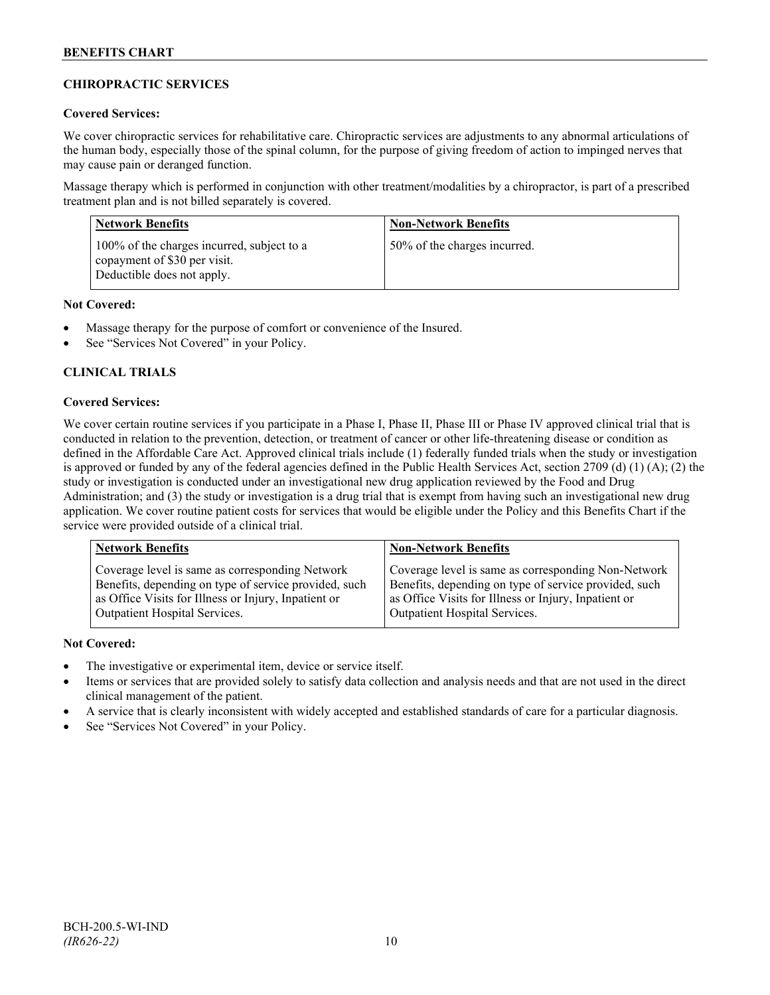# **CHIROPRACTIC SERVICES**

## **Covered Services:**

We cover chiropractic services for rehabilitative care. Chiropractic services are adjustments to any abnormal articulations of the human body, especially those of the spinal column, for the purpose of giving freedom of action to impinged nerves that may cause pain or deranged function.

Massage therapy which is performed in conjunction with other treatment/modalities by a chiropractor, is part of a prescribed treatment plan and is not billed separately is covered.

| <b>Network Benefits</b>                                                                                  | <b>Non-Network Benefits</b>  |
|----------------------------------------------------------------------------------------------------------|------------------------------|
| 100% of the charges incurred, subject to a<br>copayment of \$30 per visit.<br>Deductible does not apply. | 50% of the charges incurred. |

## **Not Covered:**

- Massage therapy for the purpose of comfort or convenience of the Insured.
- See "Services Not Covered" in your Policy.

# **CLINICAL TRIALS**

## **Covered Services:**

We cover certain routine services if you participate in a Phase I, Phase II, Phase III or Phase IV approved clinical trial that is conducted in relation to the prevention, detection, or treatment of cancer or other life-threatening disease or condition as defined in the Affordable Care Act. Approved clinical trials include (1) federally funded trials when the study or investigation is approved or funded by any of the federal agencies defined in the Public Health Services Act, section 2709 (d) (1) (A); (2) the study or investigation is conducted under an investigational new drug application reviewed by the Food and Drug Administration; and (3) the study or investigation is a drug trial that is exempt from having such an investigational new drug application. We cover routine patient costs for services that would be eligible under the Policy and this Benefits Chart if the service were provided outside of a clinical trial.

| <b>Network Benefits</b>                               | <b>Non-Network Benefits</b>                           |
|-------------------------------------------------------|-------------------------------------------------------|
| Coverage level is same as corresponding Network       | Coverage level is same as corresponding Non-Network   |
| Benefits, depending on type of service provided, such | Benefits, depending on type of service provided, such |
| as Office Visits for Illness or Injury, Inpatient or  | as Office Visits for Illness or Injury, Inpatient or  |
| Outpatient Hospital Services.                         | Outpatient Hospital Services.                         |

## **Not Covered:**

- The investigative or experimental item, device or service itself.
- Items or services that are provided solely to satisfy data collection and analysis needs and that are not used in the direct clinical management of the patient.
- A service that is clearly inconsistent with widely accepted and established standards of care for a particular diagnosis.
- See "Services Not Covered" in your Policy.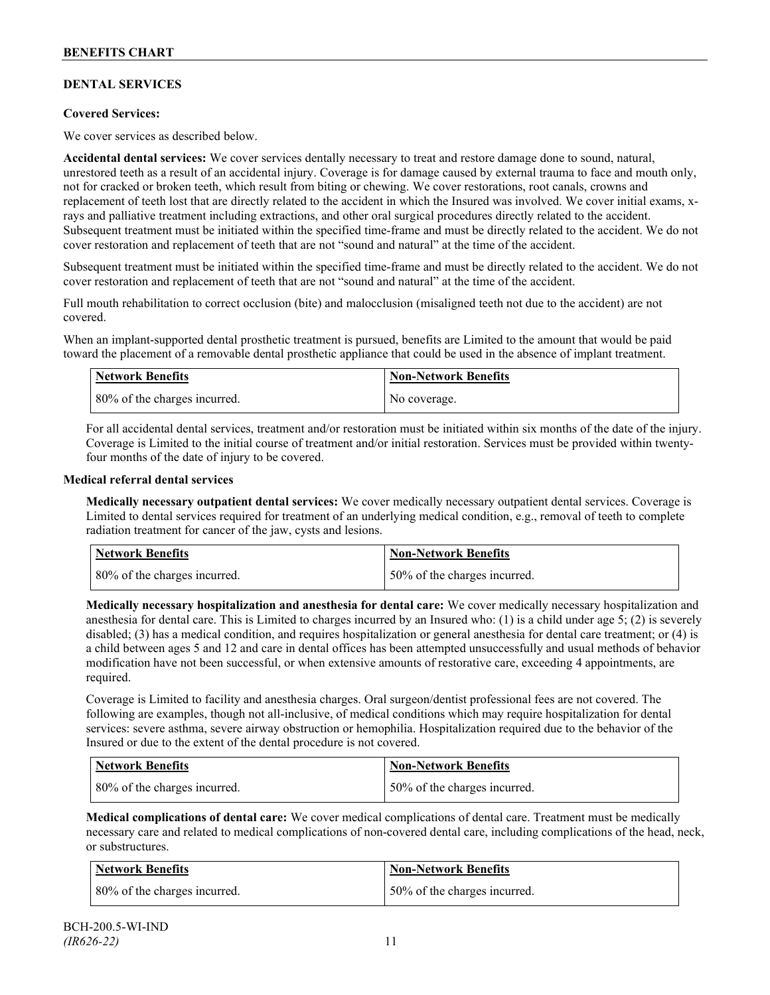# **DENTAL SERVICES**

## **Covered Services:**

We cover services as described below.

**Accidental dental services:** We cover services dentally necessary to treat and restore damage done to sound, natural, unrestored teeth as a result of an accidental injury. Coverage is for damage caused by external trauma to face and mouth only, not for cracked or broken teeth, which result from biting or chewing. We cover restorations, root canals, crowns and replacement of teeth lost that are directly related to the accident in which the Insured was involved. We cover initial exams, xrays and palliative treatment including extractions, and other oral surgical procedures directly related to the accident. Subsequent treatment must be initiated within the specified time-frame and must be directly related to the accident. We do not cover restoration and replacement of teeth that are not "sound and natural" at the time of the accident.

Subsequent treatment must be initiated within the specified time-frame and must be directly related to the accident. We do not cover restoration and replacement of teeth that are not "sound and natural" at the time of the accident.

Full mouth rehabilitation to correct occlusion (bite) and malocclusion (misaligned teeth not due to the accident) are not covered.

When an implant-supported dental prosthetic treatment is pursued, benefits are Limited to the amount that would be paid toward the placement of a removable dental prosthetic appliance that could be used in the absence of implant treatment.

| <b>Network Benefits</b>      | <b>Non-Network Benefits</b> |
|------------------------------|-----------------------------|
| 80% of the charges incurred. | No coverage.                |

For all accidental dental services, treatment and/or restoration must be initiated within six months of the date of the injury. Coverage is Limited to the initial course of treatment and/or initial restoration. Services must be provided within twentyfour months of the date of injury to be covered.

#### **Medical referral dental services**

**Medically necessary outpatient dental services:** We cover medically necessary outpatient dental services. Coverage is Limited to dental services required for treatment of an underlying medical condition, e.g., removal of teeth to complete radiation treatment for cancer of the jaw, cysts and lesions.

| Network Benefits             | <b>Non-Network Benefits</b>  |
|------------------------------|------------------------------|
| 80% of the charges incurred. | 50% of the charges incurred. |

**Medically necessary hospitalization and anesthesia for dental care:** We cover medically necessary hospitalization and anesthesia for dental care. This is Limited to charges incurred by an Insured who: (1) is a child under age 5; (2) is severely disabled; (3) has a medical condition, and requires hospitalization or general anesthesia for dental care treatment; or (4) is a child between ages 5 and 12 and care in dental offices has been attempted unsuccessfully and usual methods of behavior modification have not been successful, or when extensive amounts of restorative care, exceeding 4 appointments, are required.

Coverage is Limited to facility and anesthesia charges. Oral surgeon/dentist professional fees are not covered. The following are examples, though not all-inclusive, of medical conditions which may require hospitalization for dental services: severe asthma, severe airway obstruction or hemophilia. Hospitalization required due to the behavior of the Insured or due to the extent of the dental procedure is not covered.

| <b>Network Benefits</b>      | Non-Network Benefits         |
|------------------------------|------------------------------|
| 80% of the charges incurred. | 50% of the charges incurred. |

**Medical complications of dental care:** We cover medical complications of dental care. Treatment must be medically necessary care and related to medical complications of non-covered dental care, including complications of the head, neck, or substructures.

| Network Benefits             | Non-Network Benefits         |
|------------------------------|------------------------------|
| 80% of the charges incurred. | 50% of the charges incurred. |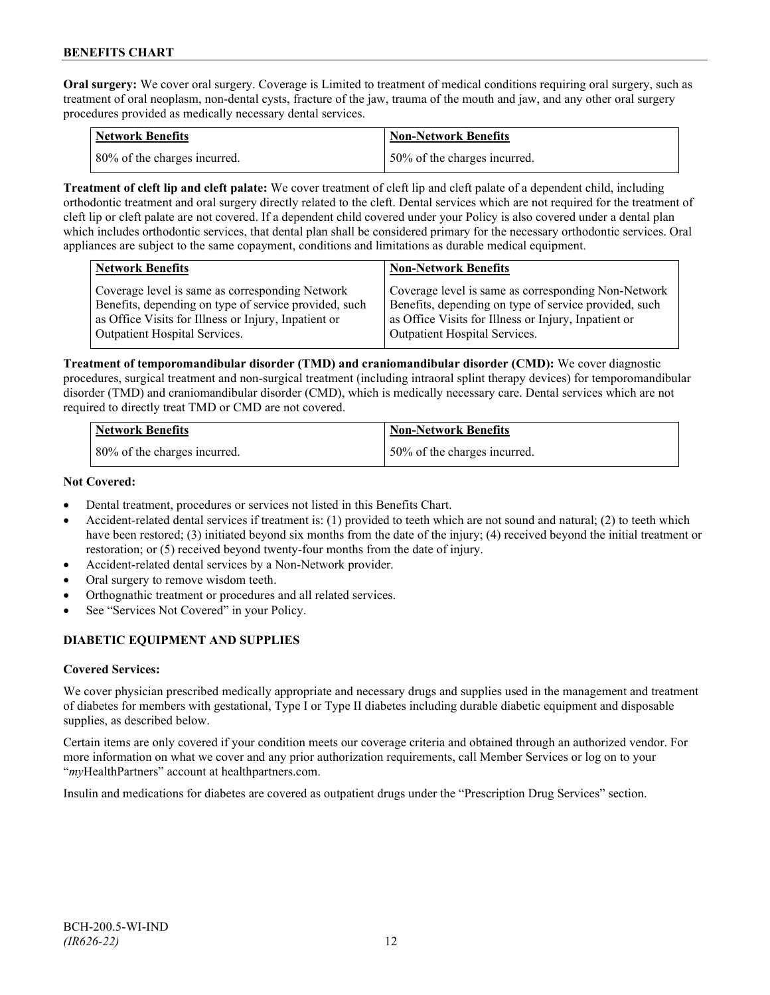**Oral surgery:** We cover oral surgery. Coverage is Limited to treatment of medical conditions requiring oral surgery, such as treatment of oral neoplasm, non-dental cysts, fracture of the jaw, trauma of the mouth and jaw, and any other oral surgery procedures provided as medically necessary dental services.

| Network Benefits             | <b>Non-Network Benefits</b>  |
|------------------------------|------------------------------|
| 80% of the charges incurred. | 50% of the charges incurred. |

**Treatment of cleft lip and cleft palate:** We cover treatment of cleft lip and cleft palate of a dependent child, including orthodontic treatment and oral surgery directly related to the cleft. Dental services which are not required for the treatment of cleft lip or cleft palate are not covered. If a dependent child covered under your Policy is also covered under a dental plan which includes orthodontic services, that dental plan shall be considered primary for the necessary orthodontic services. Oral appliances are subject to the same copayment, conditions and limitations as durable medical equipment.

| <b>Network Benefits</b>                               | <b>Non-Network Benefits</b>                           |
|-------------------------------------------------------|-------------------------------------------------------|
| Coverage level is same as corresponding Network       | Coverage level is same as corresponding Non-Network   |
| Benefits, depending on type of service provided, such | Benefits, depending on type of service provided, such |
| as Office Visits for Illness or Injury, Inpatient or  | as Office Visits for Illness or Injury, Inpatient or  |
| Outpatient Hospital Services.                         | Outpatient Hospital Services.                         |

**Treatment of temporomandibular disorder (TMD) and craniomandibular disorder (CMD):** We cover diagnostic procedures, surgical treatment and non-surgical treatment (including intraoral splint therapy devices) for temporomandibular disorder (TMD) and craniomandibular disorder (CMD), which is medically necessary care. Dental services which are not required to directly treat TMD or CMD are not covered.

| <b>Network Benefits</b>      | Non-Network Benefits         |
|------------------------------|------------------------------|
| 80% of the charges incurred. | 50% of the charges incurred. |

## **Not Covered:**

- Dental treatment, procedures or services not listed in this Benefits Chart.
- Accident-related dental services if treatment is: (1) provided to teeth which are not sound and natural; (2) to teeth which have been restored; (3) initiated beyond six months from the date of the injury; (4) received beyond the initial treatment or restoration; or (5) received beyond twenty-four months from the date of injury.
- Accident-related dental services by a Non-Network provider.
- Oral surgery to remove wisdom teeth.
- Orthognathic treatment or procedures and all related services.
- See "Services Not Covered" in your Policy.

# **DIABETIC EQUIPMENT AND SUPPLIES**

## **Covered Services:**

We cover physician prescribed medically appropriate and necessary drugs and supplies used in the management and treatment of diabetes for members with gestational, Type I or Type II diabetes including durable diabetic equipment and disposable supplies, as described below.

Certain items are only covered if your condition meets our coverage criteria and obtained through an authorized vendor. For more information on what we cover and any prior authorization requirements, call Member Services or log on to your "*my*HealthPartners" account at [healthpartners.com.](http://www.healthpartners.com/)

Insulin and medications for diabetes are covered as outpatient drugs under the "Prescription Drug Services" section.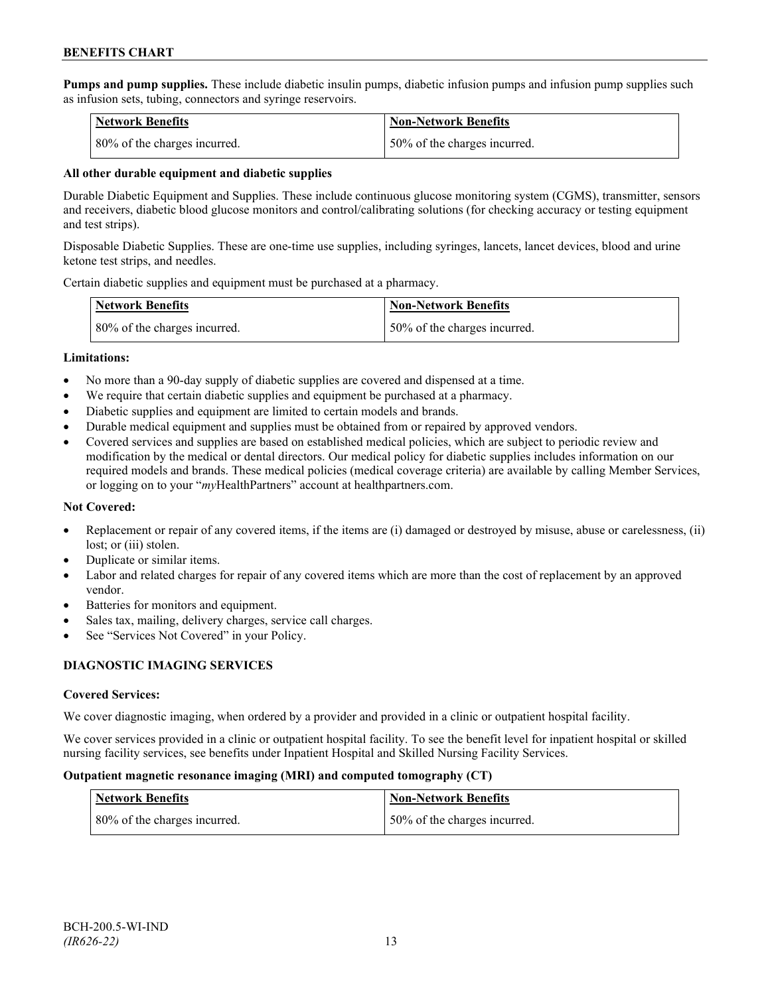**Pumps and pump supplies.** These include diabetic insulin pumps, diabetic infusion pumps and infusion pump supplies such as infusion sets, tubing, connectors and syringe reservoirs.

| <b>Network Benefits</b>      | <b>Non-Network Benefits</b>  |
|------------------------------|------------------------------|
| 80% of the charges incurred. | 50% of the charges incurred. |

## **All other durable equipment and diabetic supplies**

Durable Diabetic Equipment and Supplies. These include continuous glucose monitoring system (CGMS), transmitter, sensors and receivers, diabetic blood glucose monitors and control/calibrating solutions (for checking accuracy or testing equipment and test strips).

Disposable Diabetic Supplies. These are one-time use supplies, including syringes, lancets, lancet devices, blood and urine ketone test strips, and needles.

Certain diabetic supplies and equipment must be purchased at a pharmacy.

| <b>Network Benefits</b>      | <b>Non-Network Benefits</b>  |
|------------------------------|------------------------------|
| 80% of the charges incurred. | 50% of the charges incurred. |

#### **Limitations:**

- No more than a 90-day supply of diabetic supplies are covered and dispensed at a time.
- We require that certain diabetic supplies and equipment be purchased at a pharmacy.
- Diabetic supplies and equipment are limited to certain models and brands.
- Durable medical equipment and supplies must be obtained from or repaired by approved vendors.
- Covered services and supplies are based on established medical policies, which are subject to periodic review and modification by the medical or dental directors. Our medical policy for diabetic supplies includes information on our required models and brands. These medical policies (medical coverage criteria) are available by calling Member Services, or logging on to your "*my*HealthPartners" account at healthpartners.com.

## **Not Covered:**

- Replacement or repair of any covered items, if the items are (i) damaged or destroyed by misuse, abuse or carelessness, (ii) lost; or (iii) stolen.
- Duplicate or similar items.
- Labor and related charges for repair of any covered items which are more than the cost of replacement by an approved vendor.
- Batteries for monitors and equipment.
- Sales tax, mailing, delivery charges, service call charges.
- See "Services Not Covered" in your Policy.

## **DIAGNOSTIC IMAGING SERVICES**

## **Covered Services:**

We cover diagnostic imaging, when ordered by a provider and provided in a clinic or outpatient hospital facility.

We cover services provided in a clinic or outpatient hospital facility. To see the benefit level for inpatient hospital or skilled nursing facility services, see benefits under Inpatient Hospital and Skilled Nursing Facility Services.

#### **Outpatient magnetic resonance imaging (MRI) and computed tomography (CT)**

| Network Benefits             | <b>Non-Network Benefits</b>  |
|------------------------------|------------------------------|
| 80% of the charges incurred. | 50% of the charges incurred. |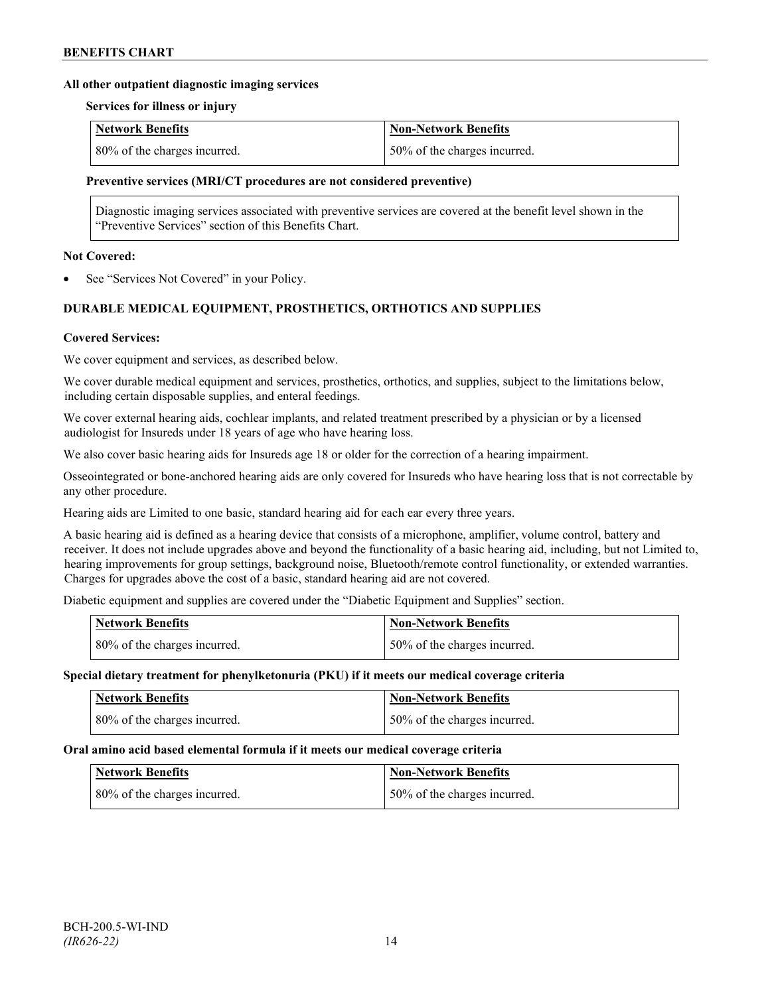#### **All other outpatient diagnostic imaging services**

#### **Services for illness or injury**

| <b>Network Benefits</b>      | Non-Network Benefits          |
|------------------------------|-------------------------------|
| 80% of the charges incurred. | 150% of the charges incurred. |

#### **Preventive services (MRI/CT procedures are not considered preventive)**

Diagnostic imaging services associated with preventive services are covered at the benefit level shown in the "Preventive Services" section of this Benefits Chart.

#### **Not Covered:**

See "Services Not Covered" in your Policy.

# **DURABLE MEDICAL EQUIPMENT, PROSTHETICS, ORTHOTICS AND SUPPLIES**

#### **Covered Services:**

We cover equipment and services, as described below.

We cover durable medical equipment and services, prosthetics, orthotics, and supplies, subject to the limitations below, including certain disposable supplies, and enteral feedings.

We cover external hearing aids, cochlear implants, and related treatment prescribed by a physician or by a licensed audiologist for Insureds under 18 years of age who have hearing loss.

We also cover basic hearing aids for Insureds age 18 or older for the correction of a hearing impairment.

Osseointegrated or bone-anchored hearing aids are only covered for Insureds who have hearing loss that is not correctable by any other procedure.

Hearing aids are Limited to one basic, standard hearing aid for each ear every three years.

A basic hearing aid is defined as a hearing device that consists of a microphone, amplifier, volume control, battery and receiver. It does not include upgrades above and beyond the functionality of a basic hearing aid, including, but not Limited to, hearing improvements for group settings, background noise, Bluetooth/remote control functionality, or extended warranties. Charges for upgrades above the cost of a basic, standard hearing aid are not covered.

Diabetic equipment and supplies are covered under the "Diabetic Equipment and Supplies" section.

| <b>Network Benefits</b>      | Non-Network Benefits         |
|------------------------------|------------------------------|
| 80% of the charges incurred. | 50% of the charges incurred. |

#### **Special dietary treatment for phenylketonuria (PKU) if it meets our medical coverage criteria**

| <b>Network Benefits</b>      | <b>Non-Network Benefits</b>  |
|------------------------------|------------------------------|
| 80% of the charges incurred. | 50% of the charges incurred. |

#### **Oral amino acid based elemental formula if it meets our medical coverage criteria**

| Network Benefits             | <b>Non-Network Benefits</b>  |
|------------------------------|------------------------------|
| 80% of the charges incurred. | 50% of the charges incurred. |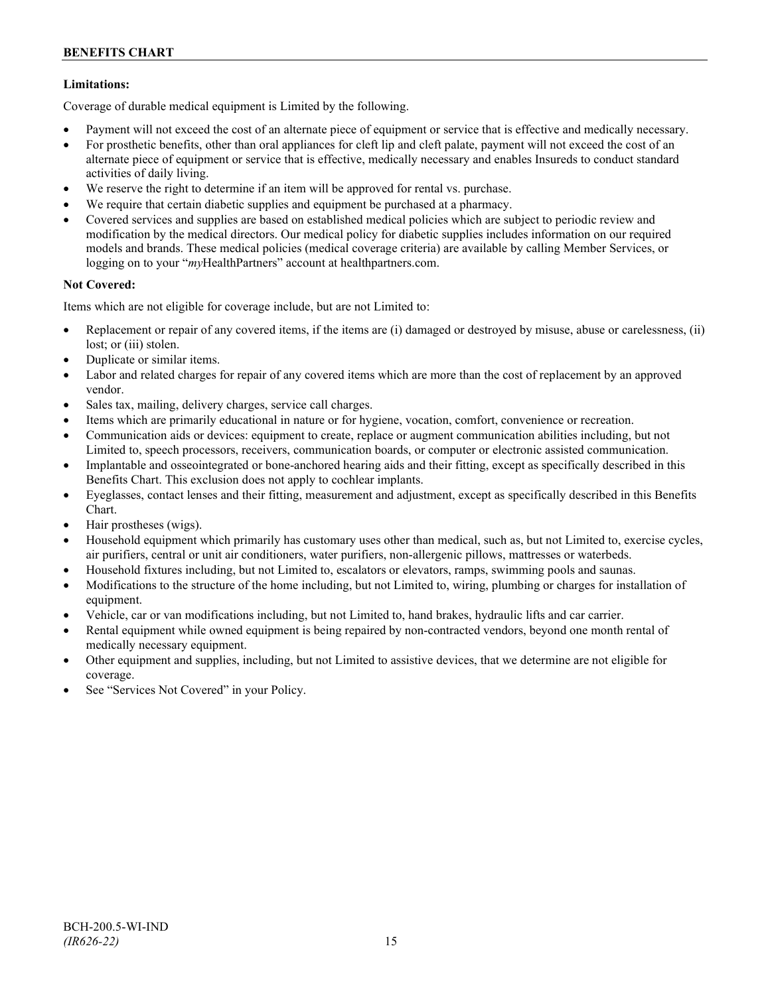## **Limitations:**

Coverage of durable medical equipment is Limited by the following.

- Payment will not exceed the cost of an alternate piece of equipment or service that is effective and medically necessary.
- For prosthetic benefits, other than oral appliances for cleft lip and cleft palate, payment will not exceed the cost of an alternate piece of equipment or service that is effective, medically necessary and enables Insureds to conduct standard activities of daily living.
- We reserve the right to determine if an item will be approved for rental vs. purchase.
- We require that certain diabetic supplies and equipment be purchased at a pharmacy.
- Covered services and supplies are based on established medical policies which are subject to periodic review and modification by the medical directors. Our medical policy for diabetic supplies includes information on our required models and brands. These medical policies (medical coverage criteria) are available by calling Member Services, or logging on to your "*my*HealthPartners" account at [healthpartners.com.](http://www.healthpartners.com/)

## **Not Covered:**

Items which are not eligible for coverage include, but are not Limited to:

- Replacement or repair of any covered items, if the items are (i) damaged or destroyed by misuse, abuse or carelessness, (ii) lost; or (iii) stolen.
- Duplicate or similar items.
- Labor and related charges for repair of any covered items which are more than the cost of replacement by an approved vendor.
- Sales tax, mailing, delivery charges, service call charges.
- Items which are primarily educational in nature or for hygiene, vocation, comfort, convenience or recreation.
- Communication aids or devices: equipment to create, replace or augment communication abilities including, but not Limited to, speech processors, receivers, communication boards, or computer or electronic assisted communication.
- Implantable and osseointegrated or bone-anchored hearing aids and their fitting, except as specifically described in this Benefits Chart. This exclusion does not apply to cochlear implants.
- Eyeglasses, contact lenses and their fitting, measurement and adjustment, except as specifically described in this Benefits Chart.
- Hair prostheses (wigs).
- Household equipment which primarily has customary uses other than medical, such as, but not Limited to, exercise cycles, air purifiers, central or unit air conditioners, water purifiers, non-allergenic pillows, mattresses or waterbeds.
- Household fixtures including, but not Limited to, escalators or elevators, ramps, swimming pools and saunas.
- Modifications to the structure of the home including, but not Limited to, wiring, plumbing or charges for installation of equipment.
- Vehicle, car or van modifications including, but not Limited to, hand brakes, hydraulic lifts and car carrier.
- Rental equipment while owned equipment is being repaired by non-contracted vendors, beyond one month rental of medically necessary equipment.
- Other equipment and supplies, including, but not Limited to assistive devices, that we determine are not eligible for coverage.
- See "Services Not Covered" in your Policy.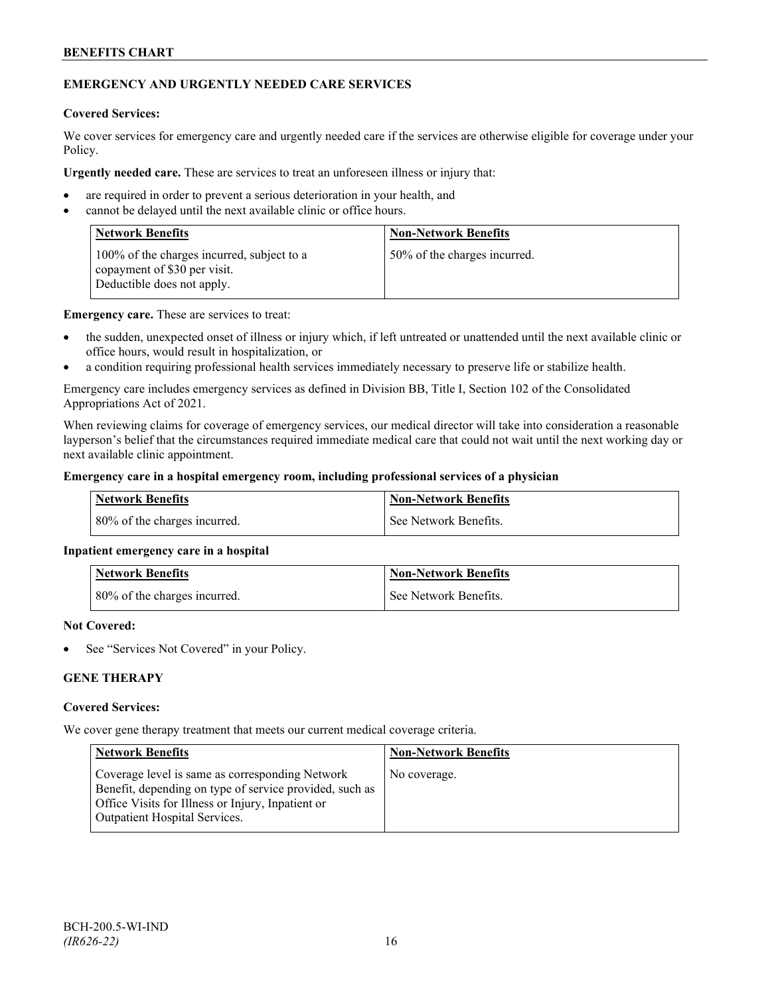# **EMERGENCY AND URGENTLY NEEDED CARE SERVICES**

## **Covered Services:**

We cover services for emergency care and urgently needed care if the services are otherwise eligible for coverage under your Policy.

**Urgently needed care.** These are services to treat an unforeseen illness or injury that:

- are required in order to prevent a serious deterioration in your health, and
- cannot be delayed until the next available clinic or office hours.

| <b>Network Benefits</b>                                                                                  | <b>Non-Network Benefits</b>  |
|----------------------------------------------------------------------------------------------------------|------------------------------|
| 100% of the charges incurred, subject to a<br>copayment of \$30 per visit.<br>Deductible does not apply. | 50% of the charges incurred. |

**Emergency care.** These are services to treat:

- the sudden, unexpected onset of illness or injury which, if left untreated or unattended until the next available clinic or office hours, would result in hospitalization, or
- a condition requiring professional health services immediately necessary to preserve life or stabilize health.

Emergency care includes emergency services as defined in Division BB, Title I, Section 102 of the Consolidated Appropriations Act of 2021.

When reviewing claims for coverage of emergency services, our medical director will take into consideration a reasonable layperson's belief that the circumstances required immediate medical care that could not wait until the next working day or next available clinic appointment.

## **Emergency care in a hospital emergency room, including professional services of a physician**

| Network Benefits             | <b>Non-Network Benefits</b> |
|------------------------------|-----------------------------|
| 80% of the charges incurred. | See Network Benefits.       |

## **Inpatient emergency care in a hospital**

| <b>Network Benefits</b>                    | <b>Non-Network Benefits</b> |
|--------------------------------------------|-----------------------------|
| $\frac{1}{2}$ 80% of the charges incurred. | See Network Benefits.       |

#### **Not Covered:**

See "Services Not Covered" in your Policy.

# **GENE THERAPY**

#### **Covered Services:**

We cover gene therapy treatment that meets our current medical coverage criteria.

| <b>Network Benefits</b>                                                                                                                                                                                 | <b>Non-Network Benefits</b> |
|---------------------------------------------------------------------------------------------------------------------------------------------------------------------------------------------------------|-----------------------------|
| Coverage level is same as corresponding Network<br>Benefit, depending on type of service provided, such as<br>Office Visits for Illness or Injury, Inpatient or<br><b>Outpatient Hospital Services.</b> | No coverage.                |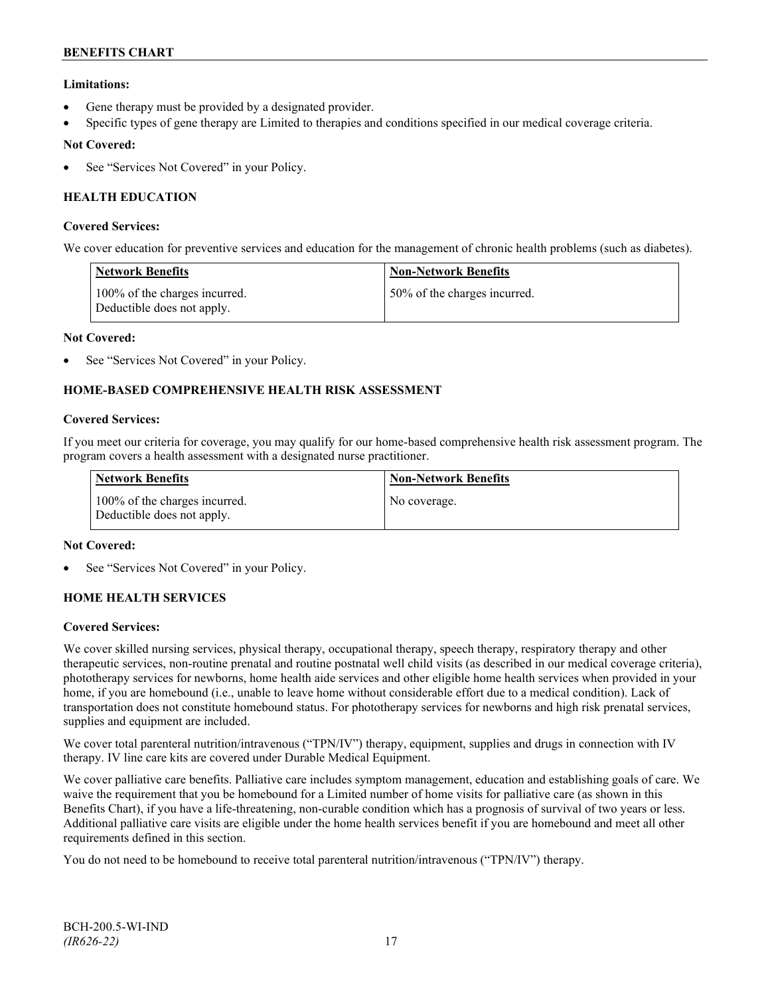# **Limitations:**

- Gene therapy must be provided by a designated provider.
- Specific types of gene therapy are Limited to therapies and conditions specified in our medical coverage criteria.

## **Not Covered:**

See "Services Not Covered" in your Policy.

# **HEALTH EDUCATION**

## **Covered Services:**

We cover education for preventive services and education for the management of chronic health problems (such as diabetes).

| <b>Network Benefits</b>                                     | <b>Non-Network Benefits</b>  |
|-------------------------------------------------------------|------------------------------|
| 100% of the charges incurred.<br>Deductible does not apply. | 50% of the charges incurred. |

#### **Not Covered:**

See "Services Not Covered" in your Policy.

# **HOME-BASED COMPREHENSIVE HEALTH RISK ASSESSMENT**

#### **Covered Services:**

If you meet our criteria for coverage, you may qualify for our home-based comprehensive health risk assessment program. The program covers a health assessment with a designated nurse practitioner.

| <b>Network Benefits</b>                                     | <b>Non-Network Benefits</b> |
|-------------------------------------------------------------|-----------------------------|
| 100% of the charges incurred.<br>Deductible does not apply. | No coverage.                |

## **Not Covered:**

See "Services Not Covered" in your Policy.

## **HOME HEALTH SERVICES**

#### **Covered Services:**

We cover skilled nursing services, physical therapy, occupational therapy, speech therapy, respiratory therapy and other therapeutic services, non-routine prenatal and routine postnatal well child visits (as described in our medical coverage criteria), phototherapy services for newborns, home health aide services and other eligible home health services when provided in your home, if you are homebound (i.e., unable to leave home without considerable effort due to a medical condition). Lack of transportation does not constitute homebound status. For phototherapy services for newborns and high risk prenatal services, supplies and equipment are included.

We cover total parenteral nutrition/intravenous ("TPN/IV") therapy, equipment, supplies and drugs in connection with IV therapy. IV line care kits are covered under Durable Medical Equipment.

We cover palliative care benefits. Palliative care includes symptom management, education and establishing goals of care. We waive the requirement that you be homebound for a Limited number of home visits for palliative care (as shown in this Benefits Chart), if you have a life-threatening, non-curable condition which has a prognosis of survival of two years or less. Additional palliative care visits are eligible under the home health services benefit if you are homebound and meet all other requirements defined in this section.

You do not need to be homebound to receive total parenteral nutrition/intravenous ("TPN/IV") therapy.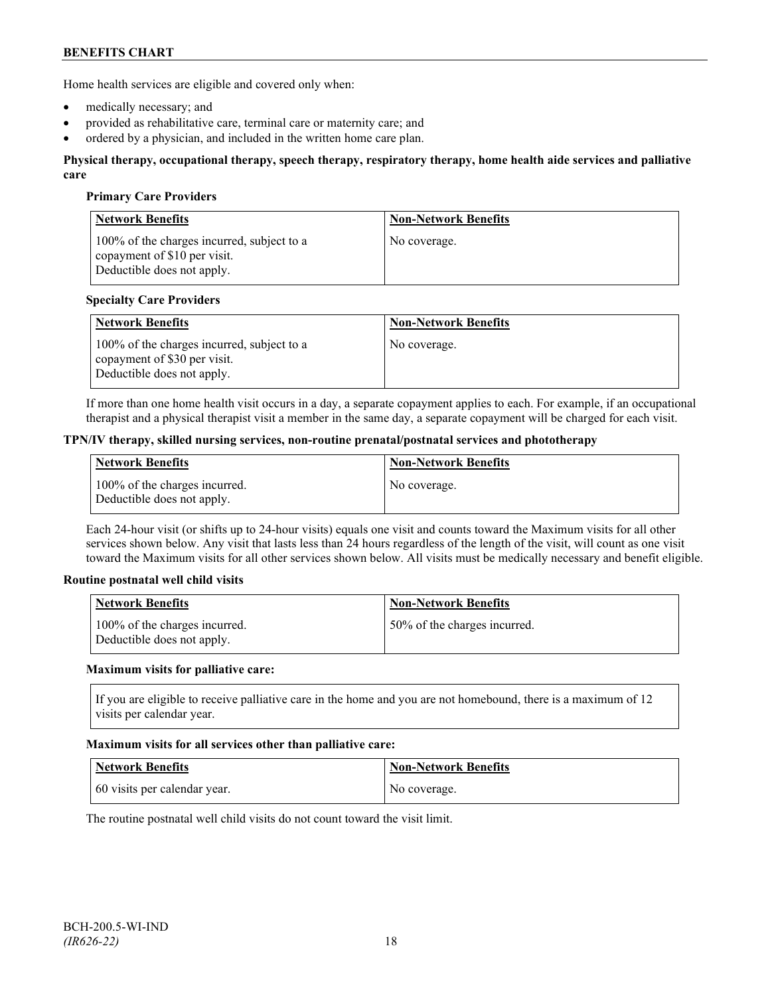Home health services are eligible and covered only when:

- medically necessary; and
- provided as rehabilitative care, terminal care or maternity care; and
- ordered by a physician, and included in the written home care plan.

#### **Physical therapy, occupational therapy, speech therapy, respiratory therapy, home health aide services and palliative care**

## **Primary Care Providers**

| <b>Network Benefits</b>                                                                                  | <b>Non-Network Benefits</b> |
|----------------------------------------------------------------------------------------------------------|-----------------------------|
| 100% of the charges incurred, subject to a<br>copayment of \$10 per visit.<br>Deductible does not apply. | No coverage.                |

#### **Specialty Care Providers**

| <b>Network Benefits</b>                                                                                  | <b>Non-Network Benefits</b> |
|----------------------------------------------------------------------------------------------------------|-----------------------------|
| 100% of the charges incurred, subject to a<br>copayment of \$30 per visit.<br>Deductible does not apply. | No coverage.                |

If more than one home health visit occurs in a day, a separate copayment applies to each. For example, if an occupational therapist and a physical therapist visit a member in the same day, a separate copayment will be charged for each visit.

#### **TPN/IV therapy, skilled nursing services, non-routine prenatal/postnatal services and phototherapy**

| Network Benefits                                            | <b>Non-Network Benefits</b> |
|-------------------------------------------------------------|-----------------------------|
| 100% of the charges incurred.<br>Deductible does not apply. | No coverage.                |

Each 24-hour visit (or shifts up to 24-hour visits) equals one visit and counts toward the Maximum visits for all other services shown below. Any visit that lasts less than 24 hours regardless of the length of the visit, will count as one visit toward the Maximum visits for all other services shown below. All visits must be medically necessary and benefit eligible.

#### **Routine postnatal well child visits**

| Network Benefits                                            | <b>Non-Network Benefits</b>  |
|-------------------------------------------------------------|------------------------------|
| 100% of the charges incurred.<br>Deductible does not apply. | 50% of the charges incurred. |

#### **Maximum visits for palliative care:**

If you are eligible to receive palliative care in the home and you are not homebound, there is a maximum of 12 visits per calendar year.

#### **Maximum visits for all services other than palliative care:**

| Network Benefits             | Non-Network Benefits |
|------------------------------|----------------------|
| 60 visits per calendar year. | No coverage.         |

The routine postnatal well child visits do not count toward the visit limit.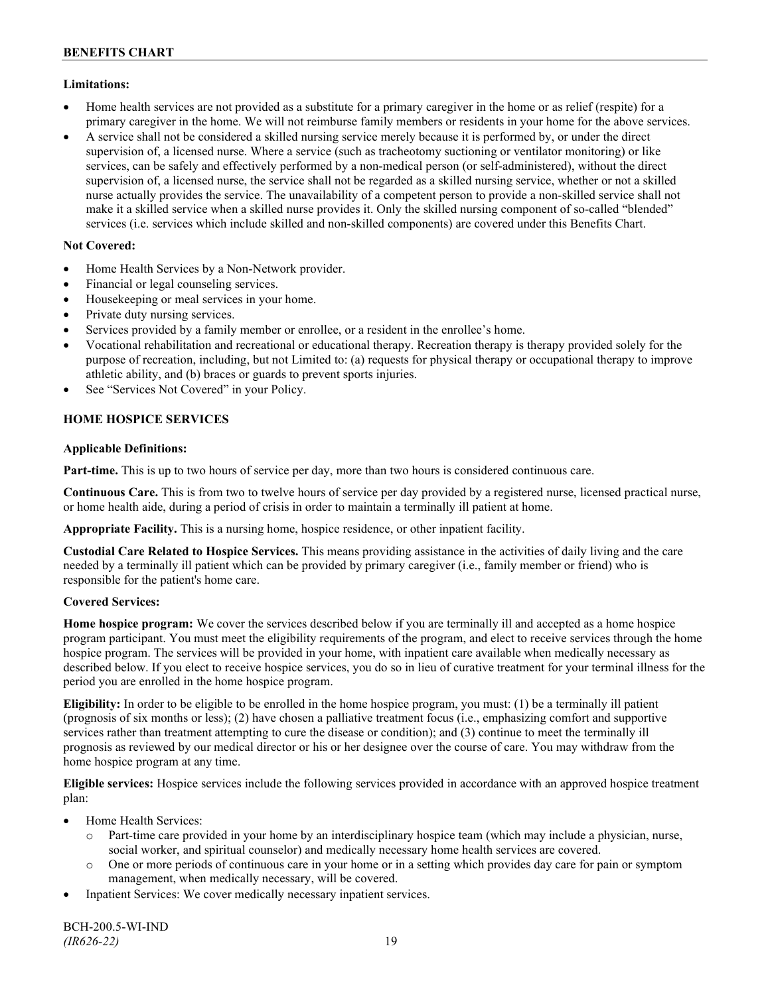## **Limitations:**

- Home health services are not provided as a substitute for a primary caregiver in the home or as relief (respite) for a primary caregiver in the home. We will not reimburse family members or residents in your home for the above services.
- A service shall not be considered a skilled nursing service merely because it is performed by, or under the direct supervision of, a licensed nurse. Where a service (such as tracheotomy suctioning or ventilator monitoring) or like services, can be safely and effectively performed by a non-medical person (or self-administered), without the direct supervision of, a licensed nurse, the service shall not be regarded as a skilled nursing service, whether or not a skilled nurse actually provides the service. The unavailability of a competent person to provide a non-skilled service shall not make it a skilled service when a skilled nurse provides it. Only the skilled nursing component of so-called "blended" services (i.e. services which include skilled and non-skilled components) are covered under this Benefits Chart.

## **Not Covered:**

- Home Health Services by a Non-Network provider.
- Financial or legal counseling services.
- Housekeeping or meal services in your home.
- Private duty nursing services.
- Services provided by a family member or enrollee, or a resident in the enrollee's home.
- Vocational rehabilitation and recreational or educational therapy. Recreation therapy is therapy provided solely for the purpose of recreation, including, but not Limited to: (a) requests for physical therapy or occupational therapy to improve athletic ability, and (b) braces or guards to prevent sports injuries.
- See "Services Not Covered" in your Policy.

# **HOME HOSPICE SERVICES**

## **Applicable Definitions:**

**Part-time.** This is up to two hours of service per day, more than two hours is considered continuous care.

**Continuous Care.** This is from two to twelve hours of service per day provided by a registered nurse, licensed practical nurse, or home health aide, during a period of crisis in order to maintain a terminally ill patient at home.

**Appropriate Facility.** This is a nursing home, hospice residence, or other inpatient facility.

**Custodial Care Related to Hospice Services.** This means providing assistance in the activities of daily living and the care needed by a terminally ill patient which can be provided by primary caregiver (i.e., family member or friend) who is responsible for the patient's home care.

## **Covered Services:**

**Home hospice program:** We cover the services described below if you are terminally ill and accepted as a home hospice program participant. You must meet the eligibility requirements of the program, and elect to receive services through the home hospice program. The services will be provided in your home, with inpatient care available when medically necessary as described below. If you elect to receive hospice services, you do so in lieu of curative treatment for your terminal illness for the period you are enrolled in the home hospice program.

**Eligibility:** In order to be eligible to be enrolled in the home hospice program, you must: (1) be a terminally ill patient (prognosis of six months or less); (2) have chosen a palliative treatment focus (i.e., emphasizing comfort and supportive services rather than treatment attempting to cure the disease or condition); and (3) continue to meet the terminally ill prognosis as reviewed by our medical director or his or her designee over the course of care. You may withdraw from the home hospice program at any time.

**Eligible services:** Hospice services include the following services provided in accordance with an approved hospice treatment plan:

- Home Health Services:
	- o Part-time care provided in your home by an interdisciplinary hospice team (which may include a physician, nurse, social worker, and spiritual counselor) and medically necessary home health services are covered.
	- o One or more periods of continuous care in your home or in a setting which provides day care for pain or symptom management, when medically necessary, will be covered.
- Inpatient Services: We cover medically necessary inpatient services.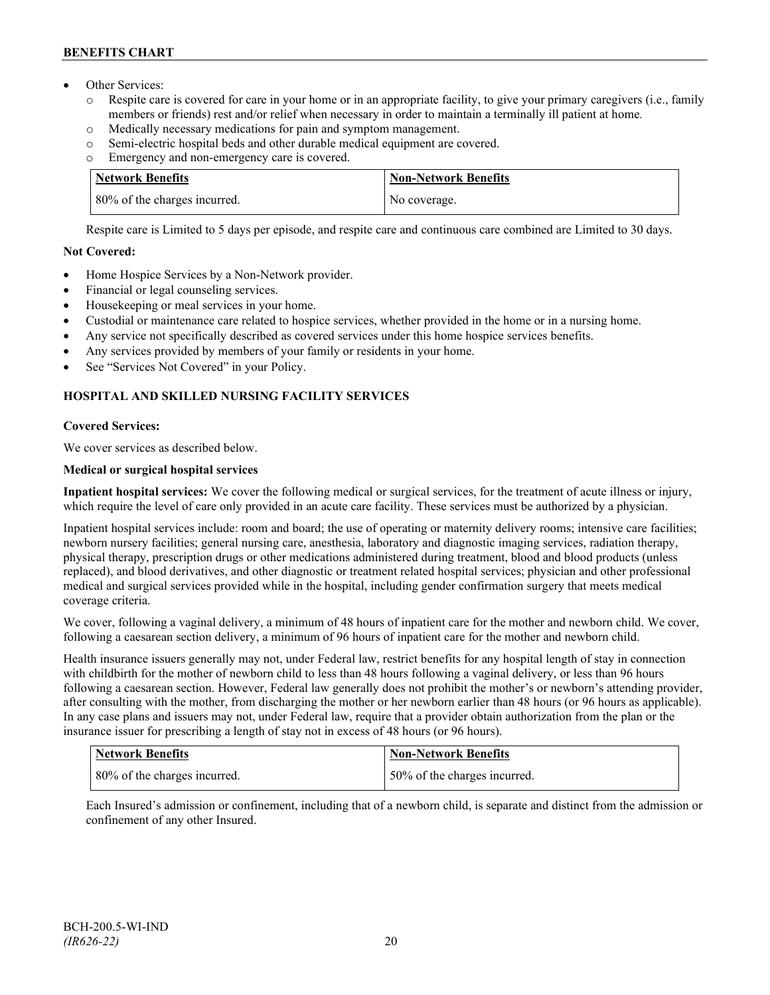- Other Services:
	- o Respite care is covered for care in your home or in an appropriate facility, to give your primary caregivers (i.e., family members or friends) rest and/or relief when necessary in order to maintain a terminally ill patient at home*.*
	- o Medically necessary medications for pain and symptom management.
	- o Semi-electric hospital beds and other durable medical equipment are covered.
	- o Emergency and non-emergency care is covered.

| <b>Network Benefits</b>      | <b>Non-Network Benefits</b> |
|------------------------------|-----------------------------|
| 80% of the charges incurred. | No coverage.                |

Respite care is Limited to 5 days per episode, and respite care and continuous care combined are Limited to 30 days.

# **Not Covered:**

- Home Hospice Services by a Non-Network provider.
- Financial or legal counseling services.
- Housekeeping or meal services in your home.
- Custodial or maintenance care related to hospice services, whether provided in the home or in a nursing home.
- Any service not specifically described as covered services under this home hospice services benefits.
- Any services provided by members of your family or residents in your home.
- See "Services Not Covered" in your Policy.

# **HOSPITAL AND SKILLED NURSING FACILITY SERVICES**

# **Covered Services:**

We cover services as described below.

# **Medical or surgical hospital services**

**Inpatient hospital services:** We cover the following medical or surgical services, for the treatment of acute illness or injury, which require the level of care only provided in an acute care facility. These services must be authorized by a physician.

Inpatient hospital services include: room and board; the use of operating or maternity delivery rooms; intensive care facilities; newborn nursery facilities; general nursing care, anesthesia, laboratory and diagnostic imaging services, radiation therapy, physical therapy, prescription drugs or other medications administered during treatment, blood and blood products (unless replaced), and blood derivatives, and other diagnostic or treatment related hospital services; physician and other professional medical and surgical services provided while in the hospital, including gender confirmation surgery that meets medical coverage criteria.

We cover, following a vaginal delivery, a minimum of 48 hours of inpatient care for the mother and newborn child. We cover, following a caesarean section delivery, a minimum of 96 hours of inpatient care for the mother and newborn child.

Health insurance issuers generally may not, under Federal law, restrict benefits for any hospital length of stay in connection with childbirth for the mother of newborn child to less than 48 hours following a vaginal delivery, or less than 96 hours following a caesarean section. However, Federal law generally does not prohibit the mother's or newborn's attending provider, after consulting with the mother, from discharging the mother or her newborn earlier than 48 hours (or 96 hours as applicable). In any case plans and issuers may not, under Federal law, require that a provider obtain authorization from the plan or the insurance issuer for prescribing a length of stay not in excess of 48 hours (or 96 hours).

| Network Benefits             | <b>Non-Network Benefits</b>   |
|------------------------------|-------------------------------|
| 80% of the charges incurred. | 150% of the charges incurred. |

Each Insured's admission or confinement, including that of a newborn child, is separate and distinct from the admission or confinement of any other Insured.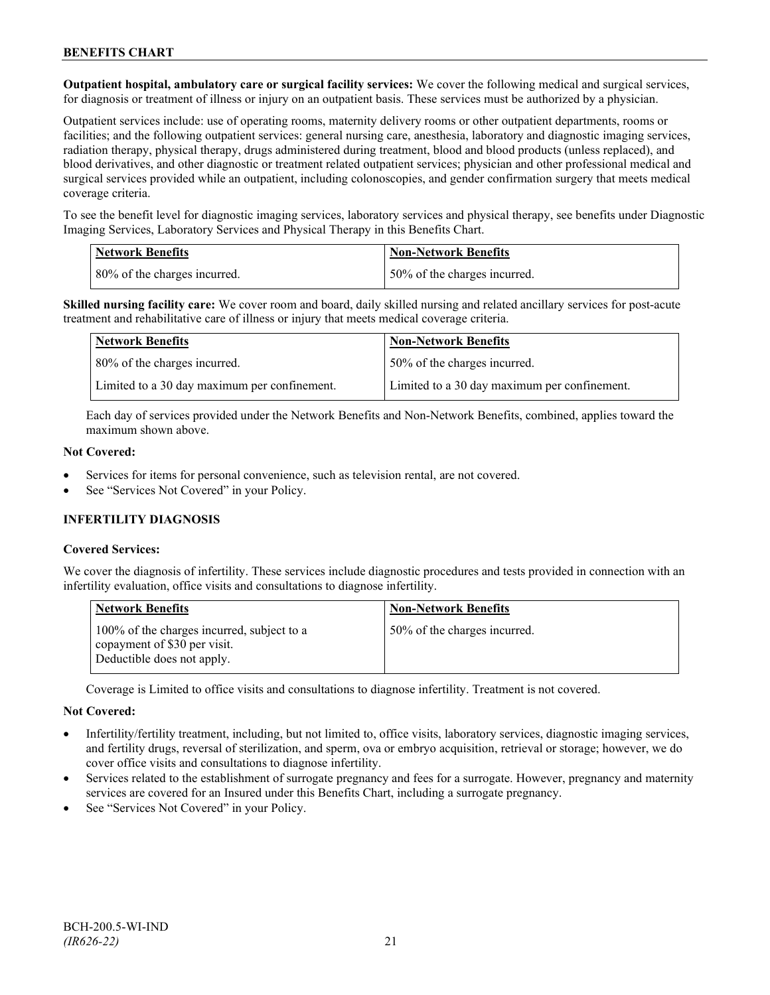**Outpatient hospital, ambulatory care or surgical facility services:** We cover the following medical and surgical services, for diagnosis or treatment of illness or injury on an outpatient basis. These services must be authorized by a physician.

Outpatient services include: use of operating rooms, maternity delivery rooms or other outpatient departments, rooms or facilities; and the following outpatient services: general nursing care, anesthesia, laboratory and diagnostic imaging services, radiation therapy, physical therapy, drugs administered during treatment, blood and blood products (unless replaced), and blood derivatives, and other diagnostic or treatment related outpatient services; physician and other professional medical and surgical services provided while an outpatient, including colonoscopies, and gender confirmation surgery that meets medical coverage criteria.

To see the benefit level for diagnostic imaging services, laboratory services and physical therapy, see benefits under Diagnostic Imaging Services, Laboratory Services and Physical Therapy in this Benefits Chart.

| <b>Network Benefits</b>      | <b>Non-Network Benefits</b>  |
|------------------------------|------------------------------|
| 80% of the charges incurred. | 50% of the charges incurred. |

**Skilled nursing facility care:** We cover room and board, daily skilled nursing and related ancillary services for post-acute treatment and rehabilitative care of illness or injury that meets medical coverage criteria.

| Network Benefits                             | <b>Non-Network Benefits</b>                  |
|----------------------------------------------|----------------------------------------------|
| 80% of the charges incurred.                 | 50% of the charges incurred.                 |
| Limited to a 30 day maximum per confinement. | Limited to a 30 day maximum per confinement. |

Each day of services provided under the Network Benefits and Non-Network Benefits, combined, applies toward the maximum shown above.

#### **Not Covered:**

- Services for items for personal convenience, such as television rental, are not covered.
- See "Services Not Covered" in your Policy.

## **INFERTILITY DIAGNOSIS**

## **Covered Services:**

We cover the diagnosis of infertility. These services include diagnostic procedures and tests provided in connection with an infertility evaluation, office visits and consultations to diagnose infertility.

| <b>Network Benefits</b>                                                                                  | <b>Non-Network Benefits</b>  |
|----------------------------------------------------------------------------------------------------------|------------------------------|
| 100% of the charges incurred, subject to a<br>copayment of \$30 per visit.<br>Deductible does not apply. | 50% of the charges incurred. |

Coverage is Limited to office visits and consultations to diagnose infertility. Treatment is not covered.

#### **Not Covered:**

- Infertility/fertility treatment, including, but not limited to, office visits, laboratory services, diagnostic imaging services, and fertility drugs, reversal of sterilization, and sperm, ova or embryo acquisition, retrieval or storage; however, we do cover office visits and consultations to diagnose infertility.
- Services related to the establishment of surrogate pregnancy and fees for a surrogate. However, pregnancy and maternity services are covered for an Insured under this Benefits Chart, including a surrogate pregnancy.
- See "Services Not Covered" in your Policy.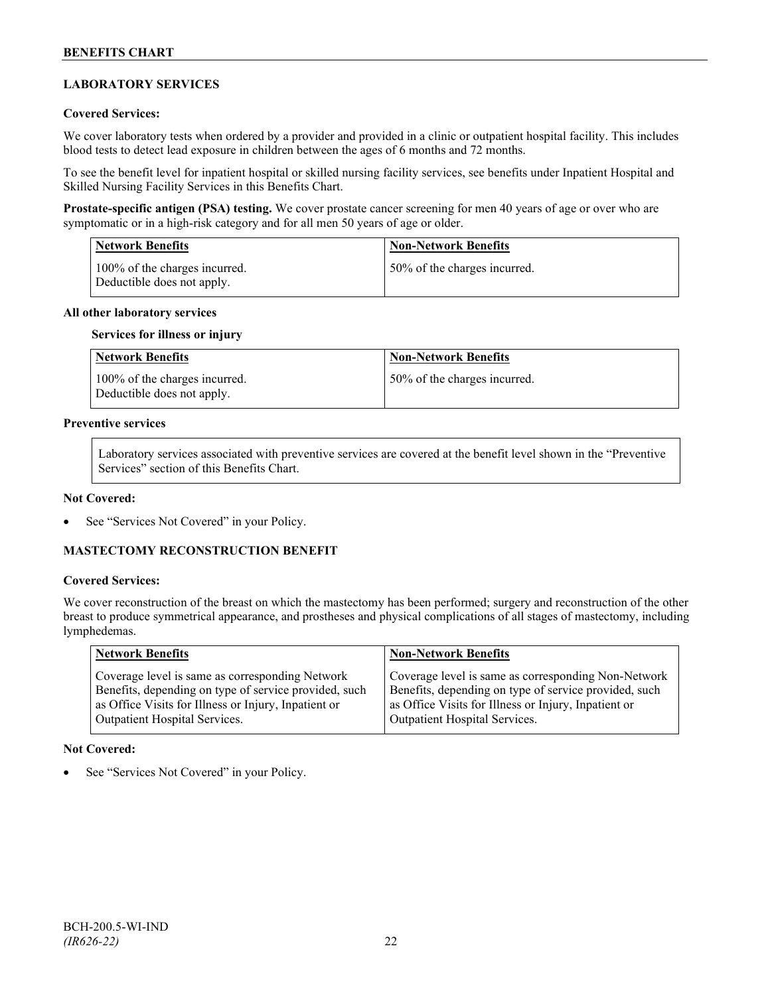# **LABORATORY SERVICES**

## **Covered Services:**

We cover laboratory tests when ordered by a provider and provided in a clinic or outpatient hospital facility. This includes blood tests to detect lead exposure in children between the ages of 6 months and 72 months.

To see the benefit level for inpatient hospital or skilled nursing facility services, see benefits under Inpatient Hospital and Skilled Nursing Facility Services in this Benefits Chart.

**Prostate-specific antigen (PSA) testing.** We cover prostate cancer screening for men 40 years of age or over who are symptomatic or in a high-risk category and for all men 50 years of age or older.

| <b>Network Benefits</b>                                     | <b>Non-Network Benefits</b>  |
|-------------------------------------------------------------|------------------------------|
| 100% of the charges incurred.<br>Deductible does not apply. | 50% of the charges incurred. |

#### **All other laboratory services**

#### **Services for illness or injury**

| Network Benefits                                            | <b>Non-Network Benefits</b>  |
|-------------------------------------------------------------|------------------------------|
| 100% of the charges incurred.<br>Deductible does not apply. | 50% of the charges incurred. |

# **Preventive services**

Laboratory services associated with preventive services are covered at the benefit level shown in the "Preventive Services" section of this Benefits Chart.

#### **Not Covered:**

See "Services Not Covered" in your Policy.

## **MASTECTOMY RECONSTRUCTION BENEFIT**

#### **Covered Services:**

We cover reconstruction of the breast on which the mastectomy has been performed; surgery and reconstruction of the other breast to produce symmetrical appearance, and prostheses and physical complications of all stages of mastectomy, including lymphedemas.

| Network Benefits                                      | <b>Non-Network Benefits</b>                           |
|-------------------------------------------------------|-------------------------------------------------------|
| Coverage level is same as corresponding Network       | Coverage level is same as corresponding Non-Network   |
| Benefits, depending on type of service provided, such | Benefits, depending on type of service provided, such |
| as Office Visits for Illness or Injury, Inpatient or  | as Office Visits for Illness or Injury, Inpatient or  |
| <b>Outpatient Hospital Services.</b>                  | Outpatient Hospital Services.                         |

#### **Not Covered:**

See "Services Not Covered" in your Policy.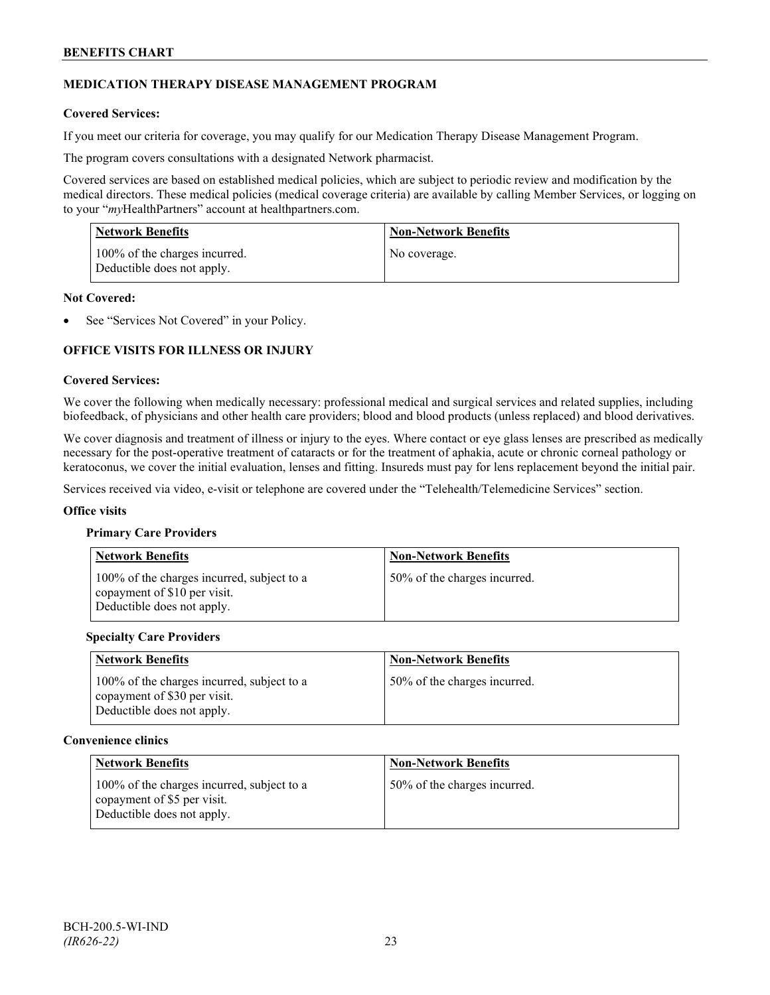# **MEDICATION THERAPY DISEASE MANAGEMENT PROGRAM**

## **Covered Services:**

If you meet our criteria for coverage, you may qualify for our Medication Therapy Disease Management Program.

The program covers consultations with a designated Network pharmacist.

Covered services are based on established medical policies, which are subject to periodic review and modification by the medical directors. These medical policies (medical coverage criteria) are available by calling Member Services, or logging on to your "*my*HealthPartners" account at [healthpartners.com.](http://www.healthpartners.com/)

| <b>Network Benefits</b>                                     | <b>Non-Network Benefits</b> |
|-------------------------------------------------------------|-----------------------------|
| 100% of the charges incurred.<br>Deductible does not apply. | No coverage.                |

#### **Not Covered:**

See "Services Not Covered" in your Policy.

# **OFFICE VISITS FOR ILLNESS OR INJURY**

#### **Covered Services:**

We cover the following when medically necessary: professional medical and surgical services and related supplies, including biofeedback, of physicians and other health care providers; blood and blood products (unless replaced) and blood derivatives.

We cover diagnosis and treatment of illness or injury to the eyes. Where contact or eye glass lenses are prescribed as medically necessary for the post-operative treatment of cataracts or for the treatment of aphakia, acute or chronic corneal pathology or keratoconus, we cover the initial evaluation, lenses and fitting. Insureds must pay for lens replacement beyond the initial pair.

Services received via video, e-visit or telephone are covered under the "Telehealth/Telemedicine Services" section.

#### **Office visits**

#### **Primary Care Providers**

| <b>Network Benefits</b>                                                                                  | <b>Non-Network Benefits</b>  |
|----------------------------------------------------------------------------------------------------------|------------------------------|
| 100% of the charges incurred, subject to a<br>copayment of \$10 per visit.<br>Deductible does not apply. | 50% of the charges incurred. |

#### **Specialty Care Providers**

| <b>Network Benefits</b>                                                                                  | <b>Non-Network Benefits</b>  |
|----------------------------------------------------------------------------------------------------------|------------------------------|
| 100% of the charges incurred, subject to a<br>copayment of \$30 per visit.<br>Deductible does not apply. | 50% of the charges incurred. |

#### **Convenience clinics**

| <b>Network Benefits</b>                                                                                 | <b>Non-Network Benefits</b>  |
|---------------------------------------------------------------------------------------------------------|------------------------------|
| 100% of the charges incurred, subject to a<br>copayment of \$5 per visit.<br>Deductible does not apply. | 50% of the charges incurred. |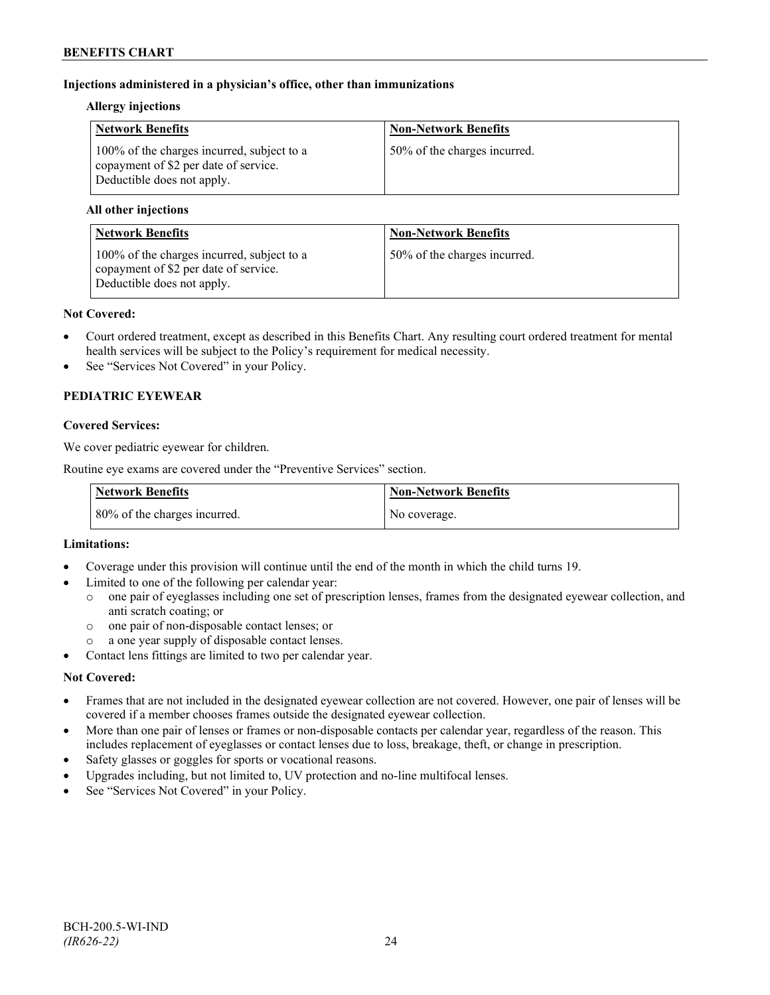## **Injections administered in a physician's office, other than immunizations**

## **Allergy injections**

| <b>Network Benefits</b>                                                                                           | <b>Non-Network Benefits</b>  |
|-------------------------------------------------------------------------------------------------------------------|------------------------------|
| 100% of the charges incurred, subject to a<br>copayment of \$2 per date of service.<br>Deductible does not apply. | 50% of the charges incurred. |

## **All other injections**

| <b>Network Benefits</b>                                                                                           | <b>Non-Network Benefits</b>  |
|-------------------------------------------------------------------------------------------------------------------|------------------------------|
| 100% of the charges incurred, subject to a<br>copayment of \$2 per date of service.<br>Deductible does not apply. | 50% of the charges incurred. |

#### **Not Covered:**

- Court ordered treatment, except as described in this Benefits Chart. Any resulting court ordered treatment for mental health services will be subject to the Policy's requirement for medical necessity.
- See "Services Not Covered" in your Policy.

# **PEDIATRIC EYEWEAR**

## **Covered Services:**

We cover pediatric eyewear for children.

Routine eye exams are covered under the "Preventive Services" section.

| <b>Network Benefits</b>      | Non-Network Benefits |
|------------------------------|----------------------|
| 80% of the charges incurred. | No coverage.         |

## **Limitations:**

- Coverage under this provision will continue until the end of the month in which the child turns 19.
- Limited to one of the following per calendar year:
	- o one pair of eyeglasses including one set of prescription lenses, frames from the designated eyewear collection, and anti scratch coating; or
	- o one pair of non-disposable contact lenses; or
	- a one year supply of disposable contact lenses.
- Contact lens fittings are limited to two per calendar year.

## **Not Covered:**

- Frames that are not included in the designated eyewear collection are not covered. However, one pair of lenses will be covered if a member chooses frames outside the designated eyewear collection.
- More than one pair of lenses or frames or non-disposable contacts per calendar year, regardless of the reason. This includes replacement of eyeglasses or contact lenses due to loss, breakage, theft, or change in prescription.
- Safety glasses or goggles for sports or vocational reasons.
- Upgrades including, but not limited to, UV protection and no-line multifocal lenses.
- See "Services Not Covered" in your Policy.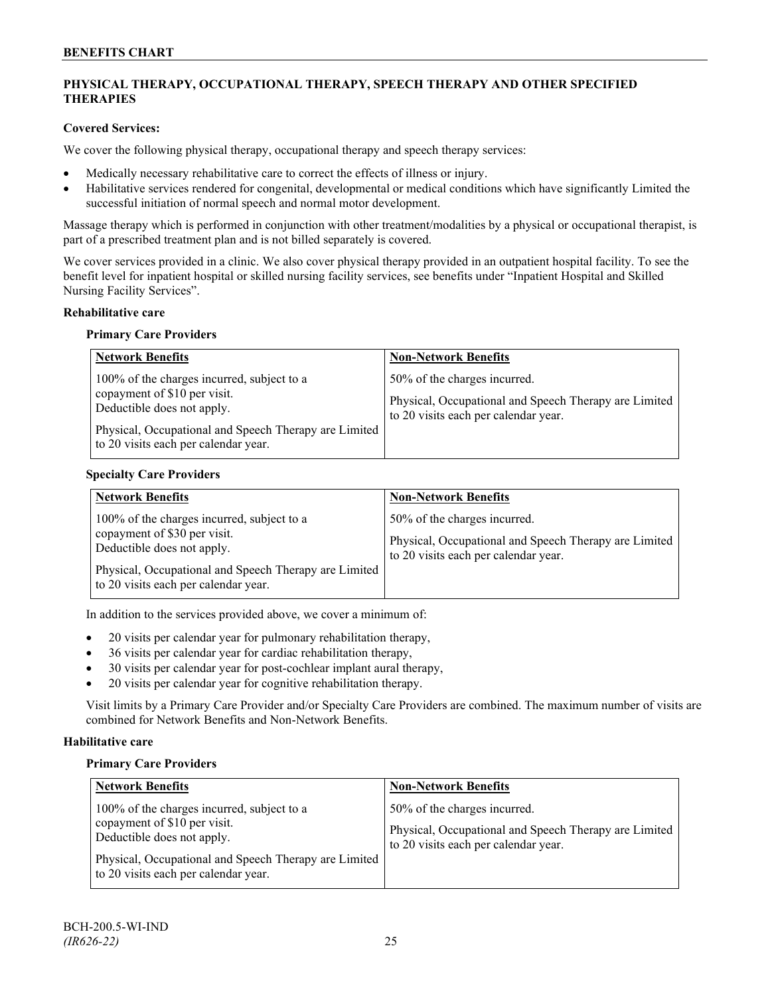# **PHYSICAL THERAPY, OCCUPATIONAL THERAPY, SPEECH THERAPY AND OTHER SPECIFIED THERAPIES**

## **Covered Services:**

We cover the following physical therapy, occupational therapy and speech therapy services:

- Medically necessary rehabilitative care to correct the effects of illness or injury.
- Habilitative services rendered for congenital, developmental or medical conditions which have significantly Limited the successful initiation of normal speech and normal motor development.

Massage therapy which is performed in conjunction with other treatment/modalities by a physical or occupational therapist, is part of a prescribed treatment plan and is not billed separately is covered.

We cover services provided in a clinic. We also cover physical therapy provided in an outpatient hospital facility. To see the benefit level for inpatient hospital or skilled nursing facility services, see benefits under "Inpatient Hospital and Skilled Nursing Facility Services".

## **Rehabilitative care**

#### **Primary Care Providers**

| <b>Network Benefits</b>                                                                                                                                                                                   | <b>Non-Network Benefits</b>                                                                                                   |
|-----------------------------------------------------------------------------------------------------------------------------------------------------------------------------------------------------------|-------------------------------------------------------------------------------------------------------------------------------|
| 100% of the charges incurred, subject to a<br>copayment of \$10 per visit.<br>Deductible does not apply.<br>Physical, Occupational and Speech Therapy are Limited<br>to 20 visits each per calendar year. | 50% of the charges incurred.<br>Physical, Occupational and Speech Therapy are Limited<br>to 20 visits each per calendar year. |

## **Specialty Care Providers**

| <b>Network Benefits</b>                                                                                                                                                                                   | <b>Non-Network Benefits</b>                                                                                                   |
|-----------------------------------------------------------------------------------------------------------------------------------------------------------------------------------------------------------|-------------------------------------------------------------------------------------------------------------------------------|
| 100% of the charges incurred, subject to a<br>copayment of \$30 per visit.<br>Deductible does not apply.<br>Physical, Occupational and Speech Therapy are Limited<br>to 20 visits each per calendar year. | 50% of the charges incurred.<br>Physical, Occupational and Speech Therapy are Limited<br>to 20 visits each per calendar year. |

In addition to the services provided above, we cover a minimum of:

- 20 visits per calendar year for pulmonary rehabilitation therapy,
- 36 visits per calendar year for cardiac rehabilitation therapy,
- 30 visits per calendar year for post-cochlear implant aural therapy,
- 20 visits per calendar year for cognitive rehabilitation therapy.

Visit limits by a Primary Care Provider and/or Specialty Care Providers are combined. The maximum number of visits are combined for Network Benefits and Non-Network Benefits.

## **Habilitative care**

#### **Primary Care Providers**

| <b>Network Benefits</b>                                                                                                                                                                                   | <b>Non-Network Benefits</b>                                                                                                     |
|-----------------------------------------------------------------------------------------------------------------------------------------------------------------------------------------------------------|---------------------------------------------------------------------------------------------------------------------------------|
| 100% of the charges incurred, subject to a<br>copayment of \$10 per visit.<br>Deductible does not apply.<br>Physical, Occupational and Speech Therapy are Limited<br>to 20 visits each per calendar year. | 50% of the charges incurred.<br>Physical, Occupational and Speech Therapy are Limited  <br>to 20 visits each per calendar year. |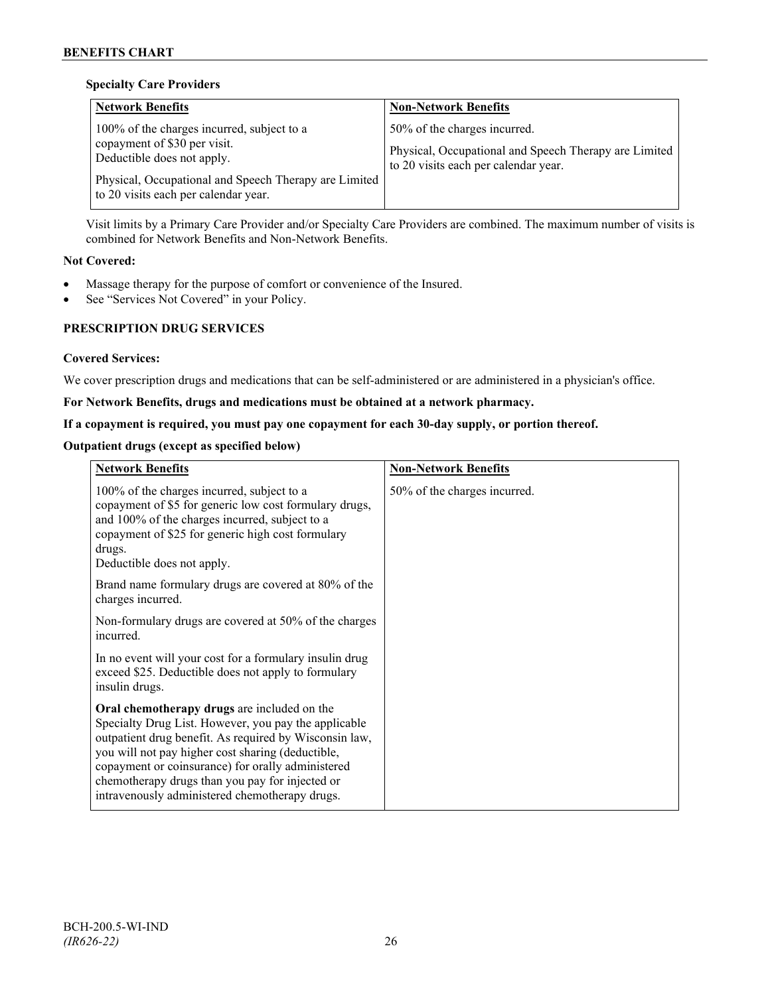## **Specialty Care Providers**

| <b>Network Benefits</b>                                                                                                                                                                                   | <b>Non-Network Benefits</b>                                                                                                   |
|-----------------------------------------------------------------------------------------------------------------------------------------------------------------------------------------------------------|-------------------------------------------------------------------------------------------------------------------------------|
| 100% of the charges incurred, subject to a<br>copayment of \$30 per visit.<br>Deductible does not apply.<br>Physical, Occupational and Speech Therapy are Limited<br>to 20 visits each per calendar year. | 50% of the charges incurred.<br>Physical, Occupational and Speech Therapy are Limited<br>to 20 visits each per calendar year. |

Visit limits by a Primary Care Provider and/or Specialty Care Providers are combined. The maximum number of visits is combined for Network Benefits and Non-Network Benefits.

# **Not Covered:**

- Massage therapy for the purpose of comfort or convenience of the Insured.
- See "Services Not Covered" in your Policy.

# **PRESCRIPTION DRUG SERVICES**

## **Covered Services:**

We cover prescription drugs and medications that can be self-administered or are administered in a physician's office.

## **For Network Benefits, drugs and medications must be obtained at a network pharmacy.**

# **If a copayment is required, you must pay one copayment for each 30-day supply, or portion thereof.**

# **Outpatient drugs (except as specified below)**

| <b>Network Benefits</b>                                                                                                                                                                                                                                                                                                                                                      | <b>Non-Network Benefits</b>  |
|------------------------------------------------------------------------------------------------------------------------------------------------------------------------------------------------------------------------------------------------------------------------------------------------------------------------------------------------------------------------------|------------------------------|
| 100% of the charges incurred, subject to a<br>copayment of \$5 for generic low cost formulary drugs,<br>and 100% of the charges incurred, subject to a<br>copayment of \$25 for generic high cost formulary<br>drugs.<br>Deductible does not apply.                                                                                                                          | 50% of the charges incurred. |
| Brand name formulary drugs are covered at 80% of the<br>charges incurred.                                                                                                                                                                                                                                                                                                    |                              |
| Non-formulary drugs are covered at 50% of the charges<br>incurred.                                                                                                                                                                                                                                                                                                           |                              |
| In no event will your cost for a formulary insulin drug<br>exceed \$25. Deductible does not apply to formulary<br>insulin drugs.                                                                                                                                                                                                                                             |                              |
| Oral chemotherapy drugs are included on the<br>Specialty Drug List. However, you pay the applicable<br>outpatient drug benefit. As required by Wisconsin law,<br>you will not pay higher cost sharing (deductible,<br>copayment or coinsurance) for orally administered<br>chemotherapy drugs than you pay for injected or<br>intravenously administered chemotherapy drugs. |                              |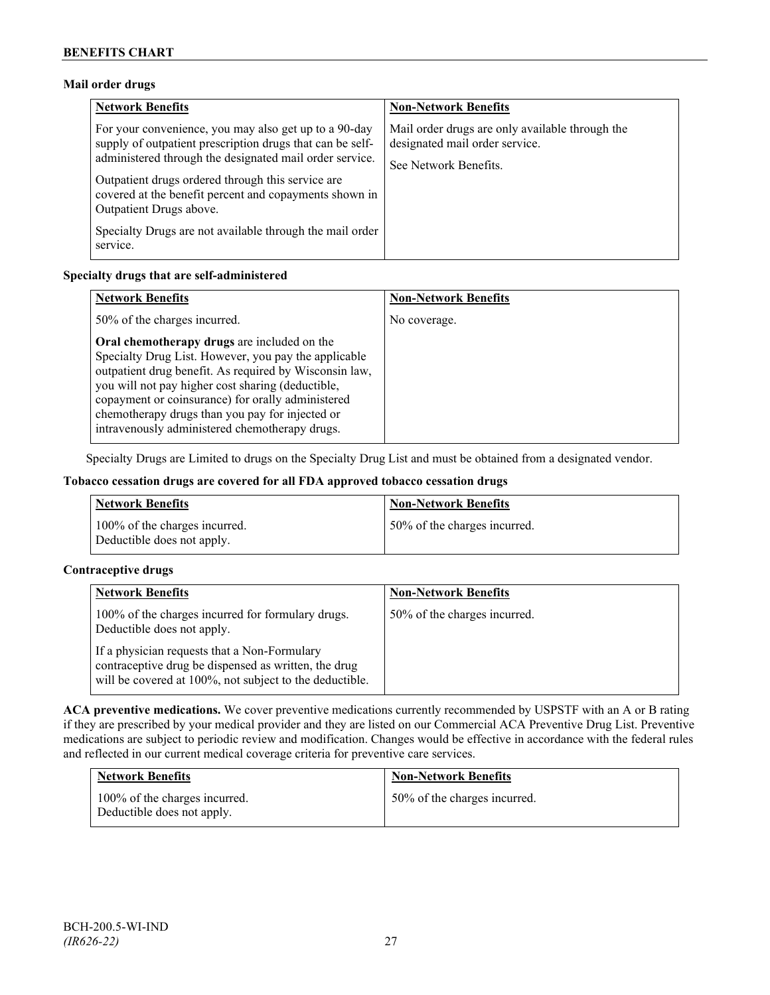## **Mail order drugs**

| <b>Network Benefits</b>                                                                                                                                                                                                                                                                                                 | <b>Non-Network Benefits</b>                                                                                |
|-------------------------------------------------------------------------------------------------------------------------------------------------------------------------------------------------------------------------------------------------------------------------------------------------------------------------|------------------------------------------------------------------------------------------------------------|
| For your convenience, you may also get up to a 90-day<br>supply of outpatient prescription drugs that can be self-<br>administered through the designated mail order service.<br>Outpatient drugs ordered through this service are<br>covered at the benefit percent and copayments shown in<br>Outpatient Drugs above. | Mail order drugs are only available through the<br>designated mail order service.<br>See Network Benefits. |
| Specialty Drugs are not available through the mail order<br>service.                                                                                                                                                                                                                                                    |                                                                                                            |

## **Specialty drugs that are self-administered**

| <b>Network Benefits</b>                                                                                                                                                                                                                                                                                                                                                      | <b>Non-Network Benefits</b> |
|------------------------------------------------------------------------------------------------------------------------------------------------------------------------------------------------------------------------------------------------------------------------------------------------------------------------------------------------------------------------------|-----------------------------|
| 50% of the charges incurred.                                                                                                                                                                                                                                                                                                                                                 | No coverage.                |
| Oral chemotherapy drugs are included on the<br>Specialty Drug List. However, you pay the applicable<br>outpatient drug benefit. As required by Wisconsin law,<br>you will not pay higher cost sharing (deductible,<br>copayment or coinsurance) for orally administered<br>chemotherapy drugs than you pay for injected or<br>intravenously administered chemotherapy drugs. |                             |

Specialty Drugs are Limited to drugs on the Specialty Drug List and must be obtained from a designated vendor.

## **Tobacco cessation drugs are covered for all FDA approved tobacco cessation drugs**

| <b>Network Benefits</b>                                     | <b>Non-Network Benefits</b>  |
|-------------------------------------------------------------|------------------------------|
| 100% of the charges incurred.<br>Deductible does not apply. | 50% of the charges incurred. |

## **Contraceptive drugs**

| <b>Network Benefits</b>                                                                                                                                         | <b>Non-Network Benefits</b>  |
|-----------------------------------------------------------------------------------------------------------------------------------------------------------------|------------------------------|
| 100% of the charges incurred for formulary drugs.<br>Deductible does not apply.                                                                                 | 50% of the charges incurred. |
| If a physician requests that a Non-Formulary<br>contraceptive drug be dispensed as written, the drug<br>will be covered at 100%, not subject to the deductible. |                              |

**ACA preventive medications.** We cover preventive medications currently recommended by USPSTF with an A or B rating if they are prescribed by your medical provider and they are listed on our Commercial ACA Preventive Drug List. Preventive medications are subject to periodic review and modification. Changes would be effective in accordance with the federal rules and reflected in our current medical coverage criteria for preventive care services.

| <b>Network Benefits</b>                                     | <b>Non-Network Benefits</b>  |
|-------------------------------------------------------------|------------------------------|
| 100% of the charges incurred.<br>Deductible does not apply. | 50% of the charges incurred. |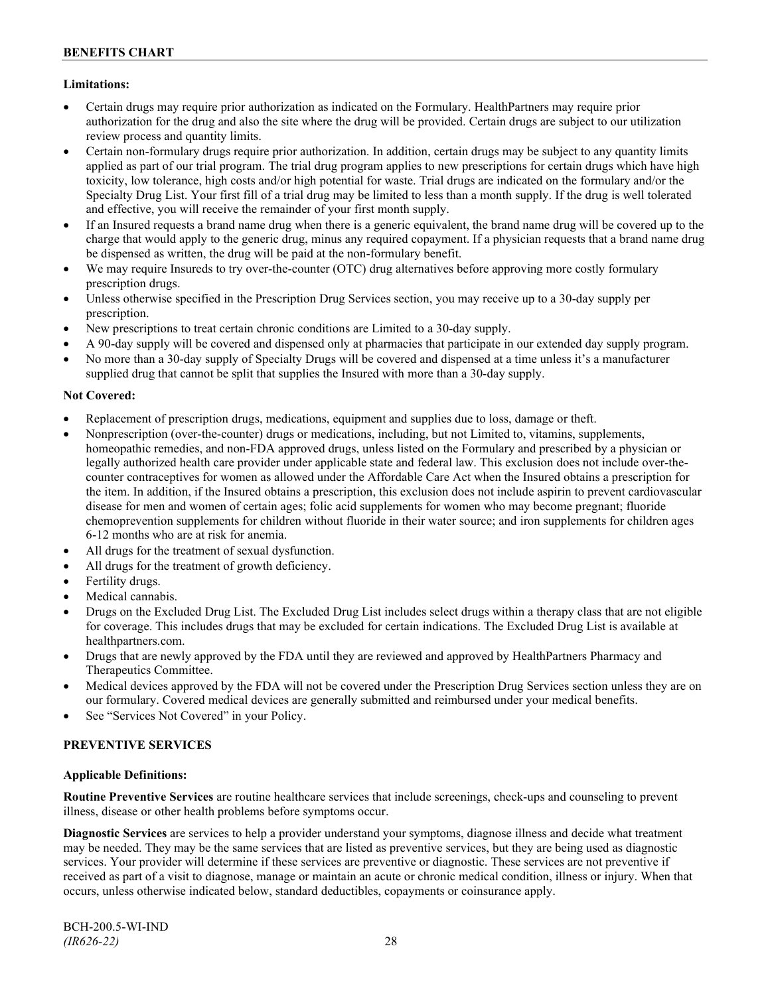# **Limitations:**

- Certain drugs may require prior authorization as indicated on the Formulary. HealthPartners may require prior authorization for the drug and also the site where the drug will be provided. Certain drugs are subject to our utilization review process and quantity limits.
- Certain non-formulary drugs require prior authorization. In addition, certain drugs may be subject to any quantity limits applied as part of our trial program. The trial drug program applies to new prescriptions for certain drugs which have high toxicity, low tolerance, high costs and/or high potential for waste. Trial drugs are indicated on the formulary and/or the Specialty Drug List. Your first fill of a trial drug may be limited to less than a month supply. If the drug is well tolerated and effective, you will receive the remainder of your first month supply.
- If an Insured requests a brand name drug when there is a generic equivalent, the brand name drug will be covered up to the charge that would apply to the generic drug, minus any required copayment. If a physician requests that a brand name drug be dispensed as written, the drug will be paid at the non-formulary benefit.
- We may require Insureds to try over-the-counter (OTC) drug alternatives before approving more costly formulary prescription drugs.
- Unless otherwise specified in the Prescription Drug Services section, you may receive up to a 30-day supply per prescription.
- New prescriptions to treat certain chronic conditions are Limited to a 30-day supply.
- A 90-day supply will be covered and dispensed only at pharmacies that participate in our extended day supply program.
- No more than a 30-day supply of Specialty Drugs will be covered and dispensed at a time unless it's a manufacturer supplied drug that cannot be split that supplies the Insured with more than a 30-day supply.

## **Not Covered:**

- Replacement of prescription drugs, medications, equipment and supplies due to loss, damage or theft.
- Nonprescription (over-the-counter) drugs or medications, including, but not Limited to, vitamins, supplements, homeopathic remedies, and non-FDA approved drugs, unless listed on the Formulary and prescribed by a physician or legally authorized health care provider under applicable state and federal law. This exclusion does not include over-thecounter contraceptives for women as allowed under the Affordable Care Act when the Insured obtains a prescription for the item. In addition, if the Insured obtains a prescription, this exclusion does not include aspirin to prevent cardiovascular disease for men and women of certain ages; folic acid supplements for women who may become pregnant; fluoride chemoprevention supplements for children without fluoride in their water source; and iron supplements for children ages 6-12 months who are at risk for anemia.
- All drugs for the treatment of sexual dysfunction.
- All drugs for the treatment of growth deficiency.
- Fertility drugs.
- Medical cannabis.
- Drugs on the Excluded Drug List. The Excluded Drug List includes select drugs within a therapy class that are not eligible for coverage. This includes drugs that may be excluded for certain indications. The Excluded Drug List is available at [healthpartners.com.](http://www.healthpartners.com/)
- Drugs that are newly approved by the FDA until they are reviewed and approved by HealthPartners Pharmacy and Therapeutics Committee.
- Medical devices approved by the FDA will not be covered under the Prescription Drug Services section unless they are on our formulary. Covered medical devices are generally submitted and reimbursed under your medical benefits.
- See "Services Not Covered" in your Policy.

## **PREVENTIVE SERVICES**

## **Applicable Definitions:**

**Routine Preventive Services** are routine healthcare services that include screenings, check-ups and counseling to prevent illness, disease or other health problems before symptoms occur.

**Diagnostic Services** are services to help a provider understand your symptoms, diagnose illness and decide what treatment may be needed. They may be the same services that are listed as preventive services, but they are being used as diagnostic services. Your provider will determine if these services are preventive or diagnostic. These services are not preventive if received as part of a visit to diagnose, manage or maintain an acute or chronic medical condition, illness or injury. When that occurs, unless otherwise indicated below, standard deductibles, copayments or coinsurance apply.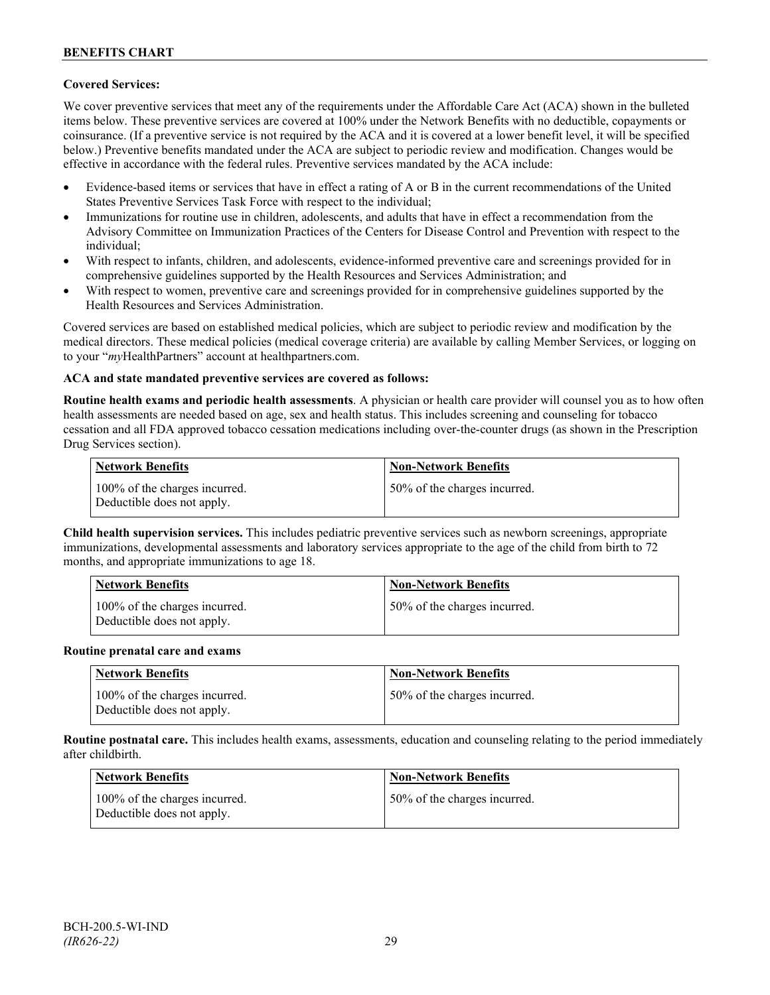## **Covered Services:**

We cover preventive services that meet any of the requirements under the Affordable Care Act (ACA) shown in the bulleted items below. These preventive services are covered at 100% under the Network Benefits with no deductible, copayments or coinsurance. (If a preventive service is not required by the ACA and it is covered at a lower benefit level, it will be specified below.) Preventive benefits mandated under the ACA are subject to periodic review and modification. Changes would be effective in accordance with the federal rules. Preventive services mandated by the ACA include:

- Evidence-based items or services that have in effect a rating of A or B in the current recommendations of the United States Preventive Services Task Force with respect to the individual;
- Immunizations for routine use in children, adolescents, and adults that have in effect a recommendation from the Advisory Committee on Immunization Practices of the Centers for Disease Control and Prevention with respect to the individual;
- With respect to infants, children, and adolescents, evidence-informed preventive care and screenings provided for in comprehensive guidelines supported by the Health Resources and Services Administration; and
- With respect to women, preventive care and screenings provided for in comprehensive guidelines supported by the Health Resources and Services Administration.

Covered services are based on established medical policies, which are subject to periodic review and modification by the medical directors. These medical policies (medical coverage criteria) are available by calling Member Services, or logging on to your "*my*HealthPartners" account at [healthpartners.com.](http://www.healthpartners.com/)

## **ACA and state mandated preventive services are covered as follows:**

**Routine health exams and periodic health assessments**. A physician or health care provider will counsel you as to how often health assessments are needed based on age, sex and health status. This includes screening and counseling for tobacco cessation and all FDA approved tobacco cessation medications including over-the-counter drugs (as shown in the Prescription Drug Services section).

| <b>Network Benefits</b>                                     | <b>Non-Network Benefits</b>  |
|-------------------------------------------------------------|------------------------------|
| 100% of the charges incurred.<br>Deductible does not apply. | 50% of the charges incurred. |

**Child health supervision services.** This includes pediatric preventive services such as newborn screenings, appropriate immunizations, developmental assessments and laboratory services appropriate to the age of the child from birth to 72 months, and appropriate immunizations to age 18.

| <b>Network Benefits</b>                                     | <b>Non-Network Benefits</b>  |
|-------------------------------------------------------------|------------------------------|
| 100% of the charges incurred.<br>Deductible does not apply. | 50% of the charges incurred. |

#### **Routine prenatal care and exams**

| Network Benefits                                            | <b>Non-Network Benefits</b>  |
|-------------------------------------------------------------|------------------------------|
| 100% of the charges incurred.<br>Deductible does not apply. | 50% of the charges incurred. |

**Routine postnatal care.** This includes health exams, assessments, education and counseling relating to the period immediately after childbirth.

| <b>Network Benefits</b>                                     | <b>Non-Network Benefits</b>  |
|-------------------------------------------------------------|------------------------------|
| 100% of the charges incurred.<br>Deductible does not apply. | 50% of the charges incurred. |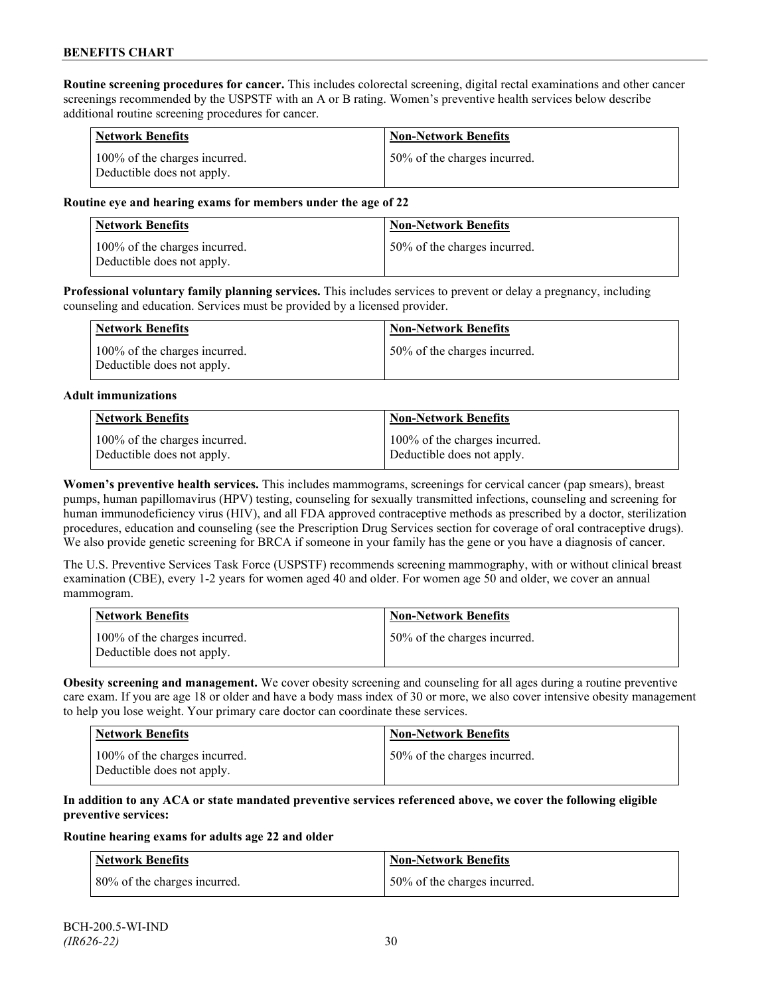**Routine screening procedures for cancer.** This includes colorectal screening, digital rectal examinations and other cancer screenings recommended by the USPSTF with an A or B rating. Women's preventive health services below describe additional routine screening procedures for cancer.

| <b>Network Benefits</b>                                     | <b>Non-Network Benefits</b>  |
|-------------------------------------------------------------|------------------------------|
| 100% of the charges incurred.<br>Deductible does not apply. | 50% of the charges incurred. |

## **Routine eye and hearing exams for members under the age of 22**

| Network Benefits                                            | <b>Non-Network Benefits</b>  |
|-------------------------------------------------------------|------------------------------|
| 100% of the charges incurred.<br>Deductible does not apply. | 50% of the charges incurred. |

**Professional voluntary family planning services.** This includes services to prevent or delay a pregnancy, including counseling and education. Services must be provided by a licensed provider.

| Network Benefits                                            | <b>Non-Network Benefits</b>  |
|-------------------------------------------------------------|------------------------------|
| 100% of the charges incurred.<br>Deductible does not apply. | 50% of the charges incurred. |

#### **Adult immunizations**

| <b>Network Benefits</b>       | <b>Non-Network Benefits</b>   |
|-------------------------------|-------------------------------|
| 100% of the charges incurred. | 100% of the charges incurred. |
| Deductible does not apply.    | Deductible does not apply.    |

**Women's preventive health services.** This includes mammograms, screenings for cervical cancer (pap smears), breast pumps, human papillomavirus (HPV) testing, counseling for sexually transmitted infections, counseling and screening for human immunodeficiency virus (HIV), and all FDA approved contraceptive methods as prescribed by a doctor, sterilization procedures, education and counseling (see the Prescription Drug Services section for coverage of oral contraceptive drugs). We also provide genetic screening for BRCA if someone in your family has the gene or you have a diagnosis of cancer.

The U.S. Preventive Services Task Force (USPSTF) recommends screening mammography, with or without clinical breast examination (CBE), every 1-2 years for women aged 40 and older. For women age 50 and older, we cover an annual mammogram.

| Network Benefits                                            | <b>Non-Network Benefits</b>  |
|-------------------------------------------------------------|------------------------------|
| 100% of the charges incurred.<br>Deductible does not apply. | 50% of the charges incurred. |

**Obesity screening and management.** We cover obesity screening and counseling for all ages during a routine preventive care exam. If you are age 18 or older and have a body mass index of 30 or more, we also cover intensive obesity management to help you lose weight. Your primary care doctor can coordinate these services.

| <b>Network Benefits</b>                                     | Non-Network Benefits         |
|-------------------------------------------------------------|------------------------------|
| 100% of the charges incurred.<br>Deductible does not apply. | 50% of the charges incurred. |

## **In addition to any ACA or state mandated preventive services referenced above, we cover the following eligible preventive services:**

#### **Routine hearing exams for adults age 22 and older**

| <b>Network Benefits</b>       | <b>Non-Network Benefits</b>  |
|-------------------------------|------------------------------|
| 180% of the charges incurred. | 50% of the charges incurred. |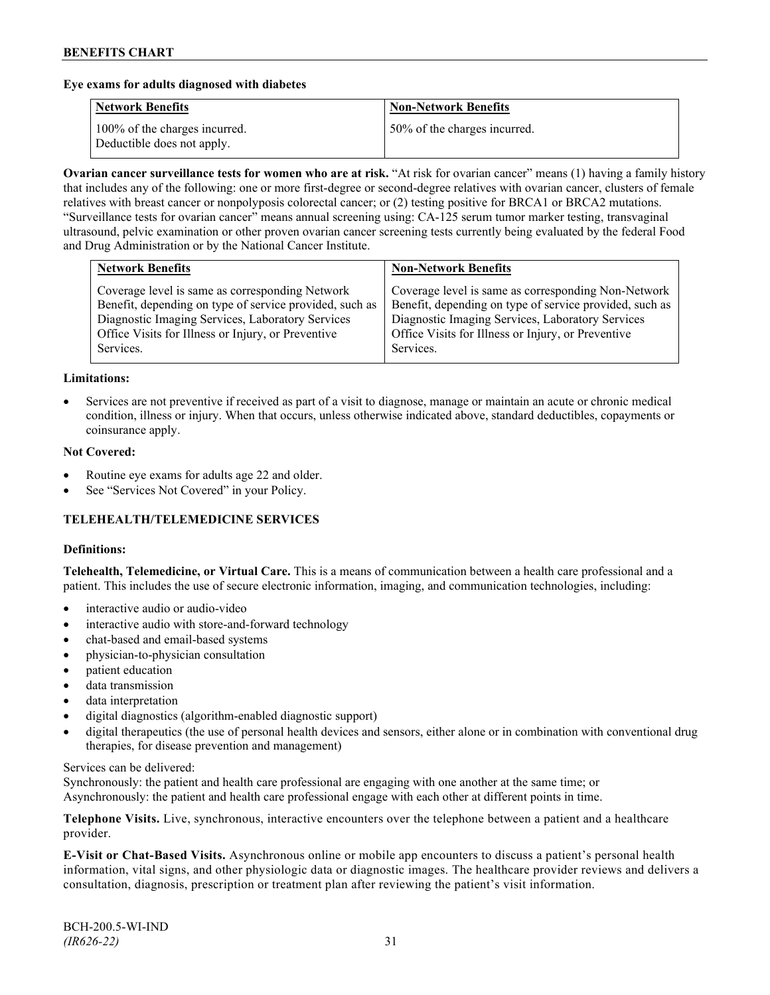## **Eye exams for adults diagnosed with diabetes**

| <b>Network Benefits</b>                                     | <b>Non-Network Benefits</b>  |
|-------------------------------------------------------------|------------------------------|
| 100% of the charges incurred.<br>Deductible does not apply. | 50% of the charges incurred. |

**Ovarian cancer surveillance tests for women who are at risk.** "At risk for ovarian cancer" means (1) having a family history that includes any of the following: one or more first-degree or second-degree relatives with ovarian cancer, clusters of female relatives with breast cancer or nonpolyposis colorectal cancer; or (2) testing positive for BRCA1 or BRCA2 mutations. "Surveillance tests for ovarian cancer" means annual screening using: CA-125 serum tumor marker testing, transvaginal ultrasound, pelvic examination or other proven ovarian cancer screening tests currently being evaluated by the federal Food and Drug Administration or by the National Cancer Institute.

| Coverage level is same as corresponding Network<br>Benefit, depending on type of service provided, such as<br>Diagnostic Imaging Services, Laboratory Services<br>Diagnostic Imaging Services, Laboratory Services<br>Office Visits for Illness or Injury, or Preventive<br>Office Visits for Illness or Injury, or Preventive | <b>Network Benefits</b> | <b>Non-Network Benefits</b>                                                                                                 |
|--------------------------------------------------------------------------------------------------------------------------------------------------------------------------------------------------------------------------------------------------------------------------------------------------------------------------------|-------------------------|-----------------------------------------------------------------------------------------------------------------------------|
|                                                                                                                                                                                                                                                                                                                                | Services.               | Coverage level is same as corresponding Non-Network<br>Benefit, depending on type of service provided, such as<br>Services. |

#### **Limitations:**

• Services are not preventive if received as part of a visit to diagnose, manage or maintain an acute or chronic medical condition, illness or injury. When that occurs, unless otherwise indicated above, standard deductibles, copayments or coinsurance apply.

#### **Not Covered:**

- Routine eye exams for adults age 22 and older.
- See "Services Not Covered" in your Policy.

# **TELEHEALTH/TELEMEDICINE SERVICES**

#### **Definitions:**

**Telehealth, Telemedicine, or Virtual Care.** This is a means of communication between a health care professional and a patient. This includes the use of secure electronic information, imaging, and communication technologies, including:

- interactive audio or audio-video
- interactive audio with store-and-forward technology
- chat-based and email-based systems
- physician-to-physician consultation
- patient education
- data transmission
- data interpretation
- digital diagnostics (algorithm-enabled diagnostic support)
- digital therapeutics (the use of personal health devices and sensors, either alone or in combination with conventional drug therapies, for disease prevention and management)

#### Services can be delivered:

Synchronously: the patient and health care professional are engaging with one another at the same time; or Asynchronously: the patient and health care professional engage with each other at different points in time.

**Telephone Visits.** Live, synchronous, interactive encounters over the telephone between a patient and a healthcare provider.

**E-Visit or Chat-Based Visits.** Asynchronous online or mobile app encounters to discuss a patient's personal health information, vital signs, and other physiologic data or diagnostic images. The healthcare provider reviews and delivers a consultation, diagnosis, prescription or treatment plan after reviewing the patient's visit information.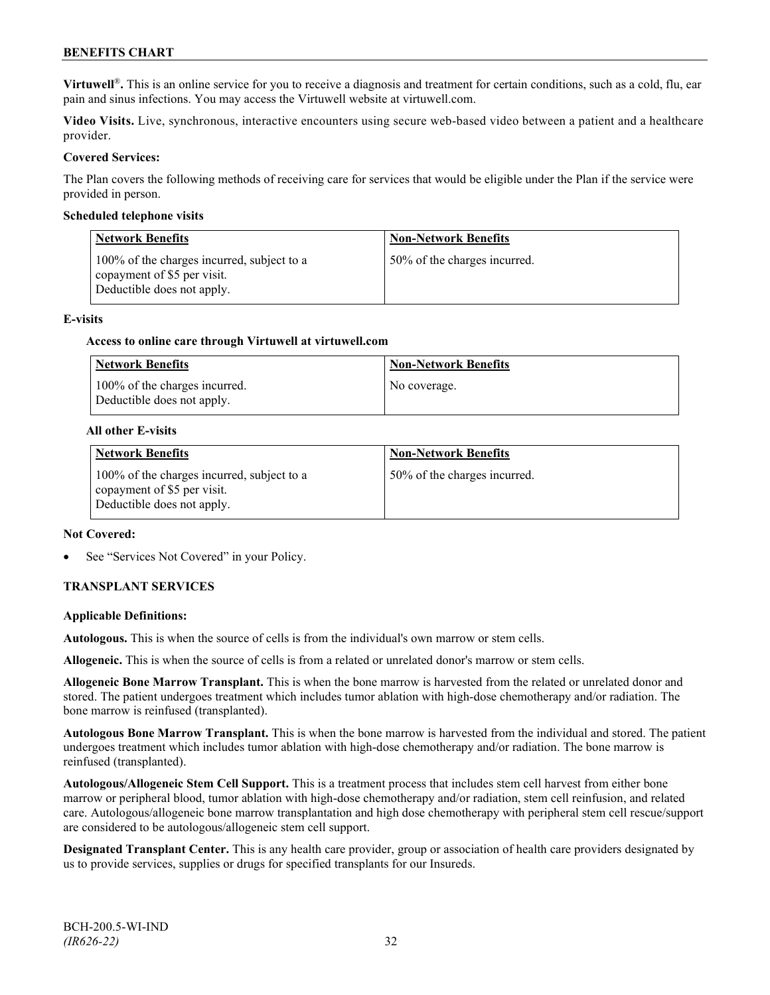**Virtuwell<sup>®</sup>**. This is an online service for you to receive a diagnosis and treatment for certain conditions, such as a cold, flu, ear pain and sinus infections. You may access the Virtuwell website at [virtuwell.com.](https://www.virtuwell.com/)

**Video Visits.** Live, synchronous, interactive encounters using secure web-based video between a patient and a healthcare provider.

## **Covered Services:**

The Plan covers the following methods of receiving care for services that would be eligible under the Plan if the service were provided in person.

#### **Scheduled telephone visits**

| <b>Network Benefits</b>                                                                                 | <b>Non-Network Benefits</b>  |
|---------------------------------------------------------------------------------------------------------|------------------------------|
| 100% of the charges incurred, subject to a<br>copayment of \$5 per visit.<br>Deductible does not apply. | 50% of the charges incurred. |

#### **E-visits**

#### **Access to online care through Virtuwell at [virtuwell.com](http://www.virtuwell.com/)**

| Network Benefits                                            | <b>Non-Network Benefits</b> |
|-------------------------------------------------------------|-----------------------------|
| 100% of the charges incurred.<br>Deductible does not apply. | No coverage.                |

#### **All other E-visits**

| <b>Network Benefits</b>                                                                                 | <b>Non-Network Benefits</b>  |
|---------------------------------------------------------------------------------------------------------|------------------------------|
| 100% of the charges incurred, subject to a<br>copayment of \$5 per visit.<br>Deductible does not apply. | 50% of the charges incurred. |

#### **Not Covered:**

See "Services Not Covered" in your Policy.

## **TRANSPLANT SERVICES**

#### **Applicable Definitions:**

**Autologous.** This is when the source of cells is from the individual's own marrow or stem cells.

**Allogeneic.** This is when the source of cells is from a related or unrelated donor's marrow or stem cells.

**Allogeneic Bone Marrow Transplant.** This is when the bone marrow is harvested from the related or unrelated donor and stored. The patient undergoes treatment which includes tumor ablation with high-dose chemotherapy and/or radiation. The bone marrow is reinfused (transplanted).

**Autologous Bone Marrow Transplant.** This is when the bone marrow is harvested from the individual and stored. The patient undergoes treatment which includes tumor ablation with high-dose chemotherapy and/or radiation. The bone marrow is reinfused (transplanted).

**Autologous/Allogeneic Stem Cell Support.** This is a treatment process that includes stem cell harvest from either bone marrow or peripheral blood, tumor ablation with high-dose chemotherapy and/or radiation, stem cell reinfusion, and related care. Autologous/allogeneic bone marrow transplantation and high dose chemotherapy with peripheral stem cell rescue/support are considered to be autologous/allogeneic stem cell support.

**Designated Transplant Center.** This is any health care provider, group or association of health care providers designated by us to provide services, supplies or drugs for specified transplants for our Insureds.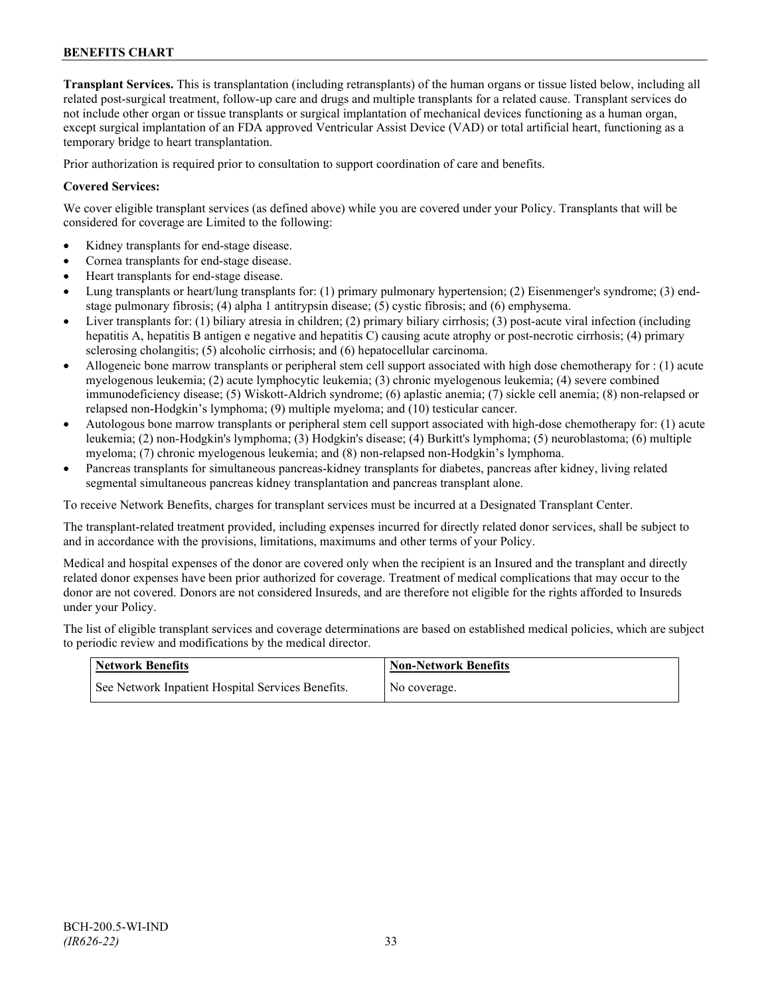**Transplant Services.** This is transplantation (including retransplants) of the human organs or tissue listed below, including all related post-surgical treatment, follow-up care and drugs and multiple transplants for a related cause. Transplant services do not include other organ or tissue transplants or surgical implantation of mechanical devices functioning as a human organ, except surgical implantation of an FDA approved Ventricular Assist Device (VAD) or total artificial heart, functioning as a temporary bridge to heart transplantation.

Prior authorization is required prior to consultation to support coordination of care and benefits.

## **Covered Services:**

We cover eligible transplant services (as defined above) while you are covered under your Policy. Transplants that will be considered for coverage are Limited to the following:

- Kidney transplants for end-stage disease.
- Cornea transplants for end-stage disease.
- Heart transplants for end-stage disease.
- Lung transplants or heart/lung transplants for: (1) primary pulmonary hypertension; (2) Eisenmenger's syndrome; (3) endstage pulmonary fibrosis; (4) alpha 1 antitrypsin disease; (5) cystic fibrosis; and (6) emphysema.
- Liver transplants for: (1) biliary atresia in children; (2) primary biliary cirrhosis; (3) post-acute viral infection (including hepatitis A, hepatitis B antigen e negative and hepatitis C) causing acute atrophy or post-necrotic cirrhosis; (4) primary sclerosing cholangitis; (5) alcoholic cirrhosis; and (6) hepatocellular carcinoma.
- Allogeneic bone marrow transplants or peripheral stem cell support associated with high dose chemotherapy for : (1) acute myelogenous leukemia; (2) acute lymphocytic leukemia; (3) chronic myelogenous leukemia; (4) severe combined immunodeficiency disease; (5) Wiskott-Aldrich syndrome; (6) aplastic anemia; (7) sickle cell anemia; (8) non-relapsed or relapsed non-Hodgkin's lymphoma; (9) multiple myeloma; and (10) testicular cancer.
- Autologous bone marrow transplants or peripheral stem cell support associated with high-dose chemotherapy for: (1) acute leukemia; (2) non-Hodgkin's lymphoma; (3) Hodgkin's disease; (4) Burkitt's lymphoma; (5) neuroblastoma; (6) multiple myeloma; (7) chronic myelogenous leukemia; and (8) non-relapsed non-Hodgkin's lymphoma.
- Pancreas transplants for simultaneous pancreas-kidney transplants for diabetes, pancreas after kidney, living related segmental simultaneous pancreas kidney transplantation and pancreas transplant alone.

To receive Network Benefits, charges for transplant services must be incurred at a Designated Transplant Center.

The transplant-related treatment provided, including expenses incurred for directly related donor services, shall be subject to and in accordance with the provisions, limitations, maximums and other terms of your Policy.

Medical and hospital expenses of the donor are covered only when the recipient is an Insured and the transplant and directly related donor expenses have been prior authorized for coverage. Treatment of medical complications that may occur to the donor are not covered. Donors are not considered Insureds, and are therefore not eligible for the rights afforded to Insureds under your Policy.

The list of eligible transplant services and coverage determinations are based on established medical policies, which are subject to periodic review and modifications by the medical director.

| <b>Network Benefits</b>                           | <b>Non-Network Benefits</b> |
|---------------------------------------------------|-----------------------------|
| See Network Inpatient Hospital Services Benefits. | No coverage.                |